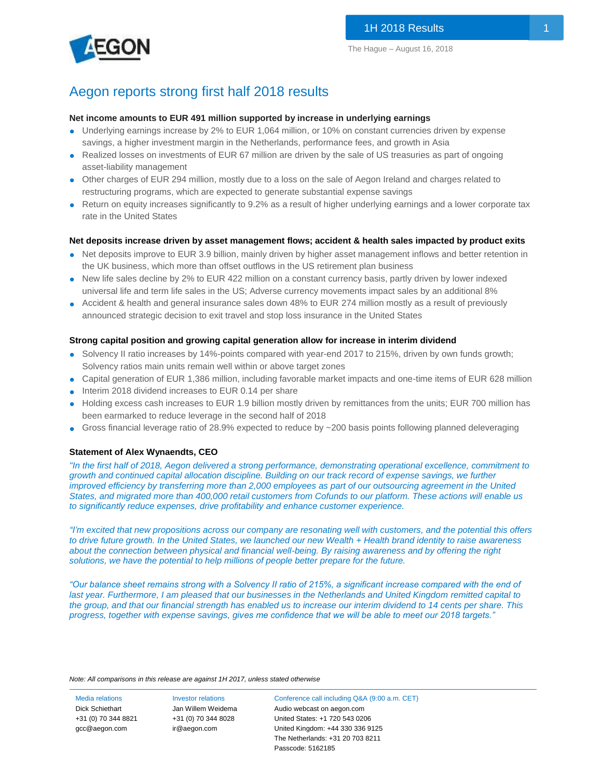

## Aegon reports strong first half 2018 results

#### **Net income amounts to EUR 491 million supported by increase in underlying earnings**

- Underlying earnings increase by 2% to EUR 1,064 million, or 10% on constant currencies driven by expense savings, a higher investment margin in the Netherlands, performance fees, and growth in Asia
- Realized losses on investments of EUR 67 million are driven by the sale of US treasuries as part of ongoing asset-liability management
- Other charges of EUR 294 million, mostly due to a loss on the sale of Aegon Ireland and charges related to restructuring programs, which are expected to generate substantial expense savings
- Return on equity increases significantly to 9.2% as a result of higher underlying earnings and a lower corporate tax rate in the United States

#### **Net deposits increase driven by asset management flows; accident & health sales impacted by product exits**

- Net deposits improve to EUR 3.9 billion, mainly driven by higher asset management inflows and better retention in the UK business, which more than offset outflows in the US retirement plan business
- New life sales decline by 2% to EUR 422 million on a constant currency basis, partly driven by lower indexed universal life and term life sales in the US; Adverse currency movements impact sales by an additional 8%
- Accident & health and general insurance sales down 48% to EUR 274 million mostly as a result of previously announced strategic decision to exit travel and stop loss insurance in the United States

#### **Strong capital position and growing capital generation allow for increase in interim dividend**

- Solvency II ratio increases by 14%-points compared with year-end 2017 to 215%, driven by own funds growth; Solvency ratios main units remain well within or above target zones
- Capital generation of EUR 1,386 million, including favorable market impacts and one-time items of EUR 628 million
- Interim 2018 dividend increases to EUR 0.14 per share
- Holding excess cash increases to EUR 1.9 billion mostly driven by remittances from the units; EUR 700 million has been earmarked to reduce leverage in the second half of 2018
- Gross financial leverage ratio of 28.9% expected to reduce by ~200 basis points following planned deleveraging

#### **Statement of Alex Wynaendts, CEO**

*"In the first half of 2018, Aegon delivered a strong performance, demonstrating operational excellence, commitment to growth and continued capital allocation discipline. Building on our track record of expense savings, we further improved efficiency by transferring more than 2,000 employees as part of our outsourcing agreement in the United States, and migrated more than 400,000 retail customers from Cofunds to our platform. These actions will enable us to significantly reduce expenses, drive profitability and enhance customer experience.*

*"I'm excited that new propositions across our company are resonating well with customers, and the potential this offers to drive future growth. In the United States, we launched our new Wealth + Health brand identity to raise awareness about the connection between physical and financial well-being. By raising awareness and by offering the right solutions, we have the potential to help millions of people better prepare for the future.* 

*"Our balance sheet remains strong with a Solvency II ratio of 215%, a significant increase compared with the end of*  last year. Furthermore, I am pleased that our businesses in the Netherlands and United Kingdom remitted capital to *the group, and that our financial strength has enabled us to increase our interim dividend to 14 cents per share. This progress, together with expense savings, gives me confidence that we will be able to meet our 2018 targets."*

*Note: All comparisons in this release are against 1H 2017, unless stated otherwise*

+31 (0) 70 344 8821 [gcc@aegon.com](mailto:gcc@aegon.com)

+31 (0) 70 344 8028 [ir@aegon.com](mailto:ir@aegon.com)

Media relations Investor relations Conference call including Q&A (9:00 a.m. CET) Dick Schiethart Jan Willem Weidema Audio webcast on aegon.com United States: +1 720 543 0206 United Kingdom: +44 330 336 9125 The Netherlands: +31 20 703 8211 Passcode: 5162185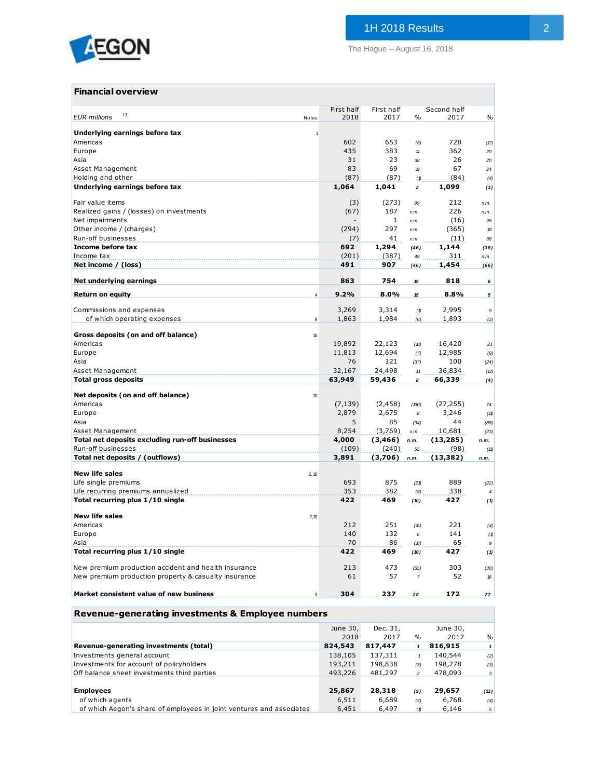

The Hague – August 16, 2018

| Financial overview                                      |            |              |                            |             |               |
|---------------------------------------------------------|------------|--------------|----------------------------|-------------|---------------|
|                                                         | First half | First half   |                            | Second half |               |
| 13<br><b>EUR</b> millions<br>Notes                      | 2018       | 2017         | $\%$                       | 2017        | $\frac{0}{0}$ |
| Underlying earnings before tax<br>1                     |            |              |                            |             |               |
| Americas                                                | 602        | 653          | (8)                        | 728         | (17)          |
| Europe                                                  | 435        | 383          | $\boldsymbol{\mathcal{H}}$ | 362         | 20            |
| Asia                                                    | 31         | 23           | 38                         | 26          | 20            |
| Asset Management                                        | 83         | 69           | $\boldsymbol{p}$           | 67          | 24            |
| Holding and other                                       | (87)       | (87)         | (1)                        | (84)        | (4)           |
| Underlying earnings before tax                          | 1,064      | 1,041        | $\overline{2}$             | 1,099       | (3)           |
| Fair value items                                        | (3)        | (273)        | 99                         | 212         | n.m.          |
| Realized gains / (losses) on investments                | (67)       | 187          | n.m.                       | 226         | n.m.          |
| Net impairments                                         |            | $\mathbf{1}$ | n.m.                       | (16)        | 98            |
| Other income / (charges)                                | (294)      | 297          | n.m.                       | (365)       | 19            |
| Run-off businesses                                      | (7)        | 41           | n.m.                       | (11)        | 38            |
| Income before tax                                       | 692        | 1,294        | (46)                       | 1,144       | (39)          |
| Income tax                                              | (201)      | (387)        | 48                         | 311         | n.m.          |
| Net income / (loss)                                     | 491        | 907          | (46)                       | 1,454       | (66)          |
|                                                         |            |              |                            |             |               |
| Net underlying earnings                                 | 863        | 754          | 15                         | 818         | 6             |
| <b>Return on equity</b><br>$\overline{4}$               | 9.2%       | 8.0%         | 15                         | 8.8%        | 5             |
| Commissions and expenses                                | 3,269      | 3,314        | (1)                        | 2,995       | 9             |
| of which operating expenses<br>$\mathsf g$              | 1,863      | 1,984        | (6)                        | 1,893       | (2)           |
|                                                         |            |              |                            |             |               |
| Gross deposits (on and off balance)<br>10               |            |              |                            |             |               |
| Americas                                                | 19,892     | 22,123       | (D)                        | 16,420      | 21            |
| Europe                                                  | 11,813     | 12,694       | (7)                        | 12,985      | (9)           |
| Asia                                                    | 76         | 121          | (37)                       | 100         | (24)          |
| Asset Management                                        | 32,167     | 24,498       | 31                         | 36,834      | (13)          |
| <b>Total gross deposits</b>                             | 63,949     | 59,436       | 8                          | 66,339      | (4)           |
| Net deposits (on and off balance)<br>10                 |            |              |                            |             |               |
| Americas                                                | (7, 139)   | (2, 458)     | (190)                      | (27, 255)   | 74            |
| Europe                                                  | 2,879      | 2,675        | 8                          | 3,246       | (11)          |
| Asia                                                    | 5          | 85           | (94)                       | 44          | (88)          |
| Asset Management                                        | 8,254      | (3,769)      | n.m.                       | 10,681      | (23)          |
| Total net deposits excluding run-off businesses         | 4,000      | (3, 466)     | n.m.                       | (13, 285)   | n.m.          |
| Run-off businesses                                      | (109)      | (240)        | 55                         | (98)        | (11)          |
| Total net deposits / (outflows)                         | 3,891      | (3,706)      | n.m.                       | (13, 382)   | n.m.          |
|                                                         |            |              |                            |             |               |
| <b>New life sales</b><br>2, 10                          |            |              |                            |             |               |
| Life single premiums                                    | 693        | 875          | (21)                       | 889         | (22)          |
| Life recurring premiums annualized                      | 353<br>422 | 382<br>469   | (8)                        | 338<br>427  | 4             |
| Total recurring plus 1/10 single                        |            |              | (10)                       |             | (1)           |
| <b>New life sales</b><br>2,10                           |            |              |                            |             |               |
| Americas                                                | 212        | 251          | (16)                       | 221         | (4)           |
| Europe                                                  | 140        | 132          | 6                          | 141         | (1)           |
| Asia                                                    | 70         | 86           | (B)                        | 65          | 9             |
| Total recurring plus 1/10 single                        | 422        | 469          | (10)                       | 427         | (1)           |
| New premium production accident and health insurance    | 213        | 473          | (55)                       | 303         | (30)          |
| New premium production property & casualty insurance    | 61         | 57           | $\overline{7}$             | 52          | 16            |
| Market consistent value of new business<br>$\mathbf{3}$ | 304        | 237          | 28                         | 172         | 77            |
|                                                         |            |              |                            |             |               |

## **Revenue-generating investments & Employee numbers**

|                                                                      | June 30, | Dec. 31. |               | June 30, |                |
|----------------------------------------------------------------------|----------|----------|---------------|----------|----------------|
|                                                                      | 2018     | 2017     | $\frac{0}{0}$ | 2017     | %              |
| Revenue-generating investments (total)                               | 824,543  | 817,447  |               | 816,915  |                |
| Investments general account                                          | 138,105  | 137,311  |               | 140,544  | (2)            |
| Investments for account of policyholders                             | 193,211  | 198,838  | (3)           | 198,278  | (3)            |
| Off balance sheet investments third parties                          | 493,226  | 481,297  | 2             | 478,093  | 3 <sup>1</sup> |
|                                                                      |          |          |               |          |                |
| <b>Employees</b>                                                     | 25,867   | 28,318   | (9)           | 29,657   | (13)           |
| of which agents                                                      | 6,511    | 6,689    | (3)           | 6,768    | (4)            |
| of which Aegon's share of employees in joint ventures and associates | 6,451    | 6,497    | (1)           | 6,146    | 5              |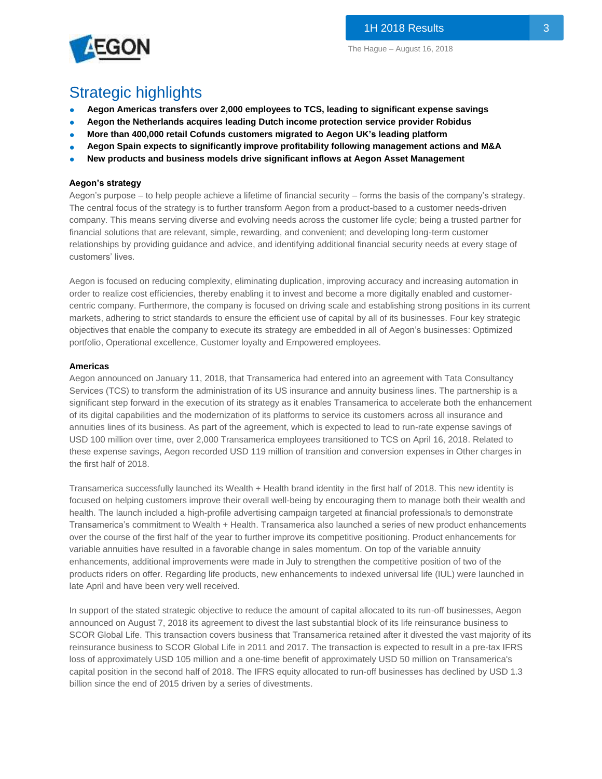

# Strategic highlights

- **Aegon Americas transfers over 2,000 employees to TCS, leading to significant expense savings**
- **Aegon the Netherlands acquires leading Dutch income protection service provider Robidus**
- **More than 400,000 retail Cofunds customers migrated to Aegon UK's leading platform**
- **Aegon Spain expects to significantly improve profitability following management actions and M&A**
- **New products and business models drive significant inflows at Aegon Asset Management**

### **Aegon's strategy**

Aegon's purpose – to help people achieve a lifetime of financial security – forms the basis of the company's strategy. The central focus of the strategy is to further transform Aegon from a product-based to a customer needs-driven company. This means serving diverse and evolving needs across the customer life cycle; being a trusted partner for financial solutions that are relevant, simple, rewarding, and convenient; and developing long-term customer relationships by providing guidance and advice, and identifying additional financial security needs at every stage of customers' lives.

Aegon is focused on reducing complexity, eliminating duplication, improving accuracy and increasing automation in order to realize cost efficiencies, thereby enabling it to invest and become a more digitally enabled and customercentric company. Furthermore, the company is focused on driving scale and establishing strong positions in its current markets, adhering to strict standards to ensure the efficient use of capital by all of its businesses. Four key strategic objectives that enable the company to execute its strategy are embedded in all of Aegon's businesses: Optimized portfolio, Operational excellence, Customer loyalty and Empowered employees.

#### **Americas**

Aegon announced on January 11, 2018, that Transamerica had entered into an agreement with Tata Consultancy Services (TCS) to transform the administration of its US insurance and annuity business lines. The partnership is a significant step forward in the execution of its strategy as it enables Transamerica to accelerate both the enhancement of its digital capabilities and the modernization of its platforms to service its customers across all insurance and annuities lines of its business. As part of the agreement, which is expected to lead to run-rate expense savings of USD 100 million over time, over 2,000 Transamerica employees transitioned to TCS on April 16, 2018. Related to these expense savings, Aegon recorded USD 119 million of transition and conversion expenses in Other charges in the first half of 2018.

Transamerica successfully launched its Wealth + Health brand identity in the first half of 2018. This new identity is focused on helping customers improve their overall well-being by encouraging them to manage both their wealth and health. The launch included a high-profile advertising campaign targeted at financial professionals to demonstrate Transamerica's commitment to Wealth + Health. Transamerica also launched a series of new product enhancements over the course of the first half of the year to further improve its competitive positioning. Product enhancements for variable annuities have resulted in a favorable change in sales momentum. On top of the variable annuity enhancements, additional improvements were made in July to strengthen the competitive position of two of the products riders on offer. Regarding life products, new enhancements to indexed universal life (IUL) were launched in late April and have been very well received.

In support of the stated strategic objective to reduce the amount of capital allocated to its run-off businesses, Aegon announced on August 7, 2018 its agreement to divest the last substantial block of its life reinsurance business to SCOR Global Life. This transaction covers business that Transamerica retained after it divested the vast majority of its reinsurance business to SCOR Global Life in 2011 and 2017. The transaction is expected to result in a pre-tax IFRS loss of approximately USD 105 million and a one-time benefit of approximately USD 50 million on Transamerica's capital position in the second half of 2018. The IFRS equity allocated to run-off businesses has declined by USD 1.3 billion since the end of 2015 driven by a series of divestments.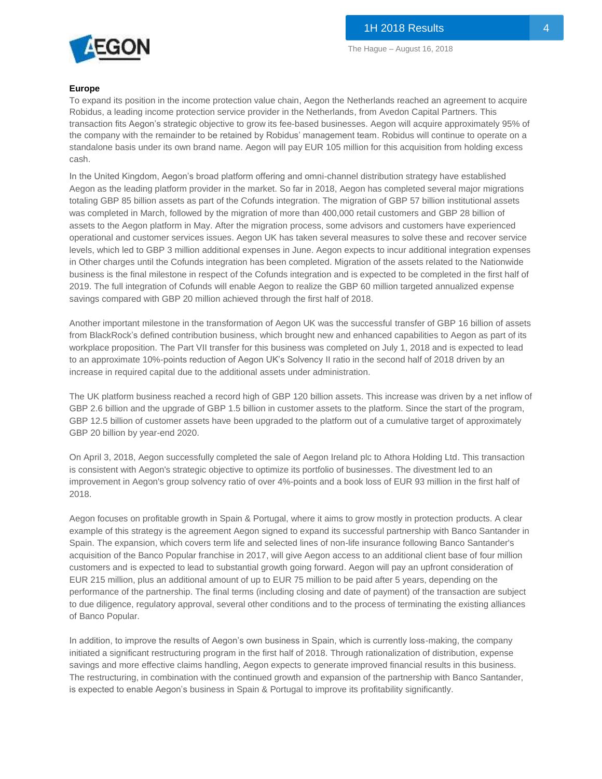

#### **Europe**

To expand its position in the income protection value chain, Aegon the Netherlands reached an agreement to acquire Robidus, a leading income protection service provider in the Netherlands, from Avedon Capital Partners. This transaction fits Aegon's strategic objective to grow its fee-based businesses. Aegon will acquire approximately 95% of the company with the remainder to be retained by Robidus' management team. Robidus will continue to operate on a standalone basis under its own brand name. Aegon will pay EUR 105 million for this acquisition from holding excess cash.

In the United Kingdom, Aegon's broad platform offering and omni-channel distribution strategy have established Aegon as the leading platform provider in the market. So far in 2018, Aegon has completed several major migrations totaling GBP 85 billion assets as part of the Cofunds integration. The migration of GBP 57 billion institutional assets was completed in March, followed by the migration of more than 400,000 retail customers and GBP 28 billion of assets to the Aegon platform in May. After the migration process, some advisors and customers have experienced operational and customer services issues. Aegon UK has taken several measures to solve these and recover service levels, which led to GBP 3 million additional expenses in June. Aegon expects to incur additional integration expenses in Other charges until the Cofunds integration has been completed. Migration of the assets related to the Nationwide business is the final milestone in respect of the Cofunds integration and is expected to be completed in the first half of 2019. The full integration of Cofunds will enable Aegon to realize the GBP 60 million targeted annualized expense savings compared with GBP 20 million achieved through the first half of 2018.

Another important milestone in the transformation of Aegon UK was the successful transfer of GBP 16 billion of assets from BlackRock's defined contribution business, which brought new and enhanced capabilities to Aegon as part of its workplace proposition. The Part VII transfer for this business was completed on July 1, 2018 and is expected to lead to an approximate 10%-points reduction of Aegon UK's Solvency II ratio in the second half of 2018 driven by an increase in required capital due to the additional assets under administration.

The UK platform business reached a record high of GBP 120 billion assets. This increase was driven by a net inflow of GBP 2.6 billion and the upgrade of GBP 1.5 billion in customer assets to the platform. Since the start of the program, GBP 12.5 billion of customer assets have been upgraded to the platform out of a cumulative target of approximately GBP 20 billion by year-end 2020.

On April 3, 2018, Aegon successfully completed the sale of Aegon Ireland plc to Athora Holding Ltd. This transaction is consistent with Aegon's strategic objective to optimize its portfolio of businesses. The divestment led to an improvement in Aegon's group solvency ratio of over 4%-points and a book loss of EUR 93 million in the first half of 2018.

Aegon focuses on profitable growth in Spain & Portugal, where it aims to grow mostly in protection products. A clear example of this strategy is the agreement Aegon signed to expand its successful partnership with Banco Santander in Spain. The expansion, which covers term life and selected lines of non-life insurance following Banco Santander's acquisition of the Banco Popular franchise in 2017, will give Aegon access to an additional client base of four million customers and is expected to lead to substantial growth going forward. Aegon will pay an upfront consideration of EUR 215 million, plus an additional amount of up to EUR 75 million to be paid after 5 years, depending on the performance of the partnership. The final terms (including closing and date of payment) of the transaction are subject to due diligence, regulatory approval, several other conditions and to the process of terminating the existing alliances of Banco Popular.

In addition, to improve the results of Aegon's own business in Spain, which is currently loss-making, the company initiated a significant restructuring program in the first half of 2018. Through rationalization of distribution, expense savings and more effective claims handling, Aegon expects to generate improved financial results in this business. The restructuring, in combination with the continued growth and expansion of the partnership with Banco Santander, is expected to enable Aegon's business in Spain & Portugal to improve its profitability significantly.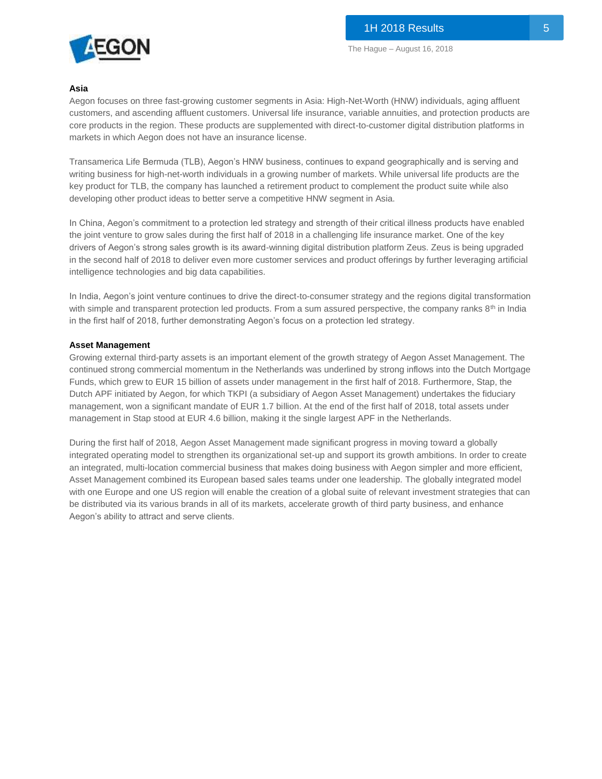

#### **Asia**

Aegon focuses on three fast-growing customer segments in Asia: High-Net-Worth (HNW) individuals, aging affluent customers, and ascending affluent customers. Universal life insurance, variable annuities, and protection products are core products in the region. These products are supplemented with direct-to-customer digital distribution platforms in markets in which Aegon does not have an insurance license.

Transamerica Life Bermuda (TLB), Aegon's HNW business, continues to expand geographically and is serving and writing business for high-net-worth individuals in a growing number of markets. While universal life products are the key product for TLB, the company has launched a retirement product to complement the product suite while also developing other product ideas to better serve a competitive HNW segment in Asia.

In China, Aegon's commitment to a protection led strategy and strength of their critical illness products have enabled the joint venture to grow sales during the first half of 2018 in a challenging life insurance market. One of the key drivers of Aegon's strong sales growth is its award-winning digital distribution platform Zeus. Zeus is being upgraded in the second half of 2018 to deliver even more customer services and product offerings by further leveraging artificial intelligence technologies and big data capabilities.

In India, Aegon's joint venture continues to drive the direct-to-consumer strategy and the regions digital transformation with simple and transparent protection led products. From a sum assured perspective, the company ranks 8<sup>th</sup> in India in the first half of 2018, further demonstrating Aegon's focus on a protection led strategy.

#### **Asset Management**

Growing external third-party assets is an important element of the growth strategy of Aegon Asset Management. The continued strong commercial momentum in the Netherlands was underlined by strong inflows into the Dutch Mortgage Funds, which grew to EUR 15 billion of assets under management in the first half of 2018. Furthermore, Stap, the Dutch APF initiated by Aegon, for which TKPI (a subsidiary of Aegon Asset Management) undertakes the fiduciary management, won a significant mandate of EUR 1.7 billion. At the end of the first half of 2018, total assets under management in Stap stood at EUR 4.6 billion, making it the single largest APF in the Netherlands.

During the first half of 2018, Aegon Asset Management made significant progress in moving toward a globally integrated operating model to strengthen its organizational set-up and support its growth ambitions. In order to create an integrated, multi-location commercial business that makes doing business with Aegon simpler and more efficient, Asset Management combined its European based sales teams under one leadership. The globally integrated model with one Europe and one US region will enable the creation of a global suite of relevant investment strategies that can be distributed via its various brands in all of its markets, accelerate growth of third party business, and enhance Aegon's ability to attract and serve clients.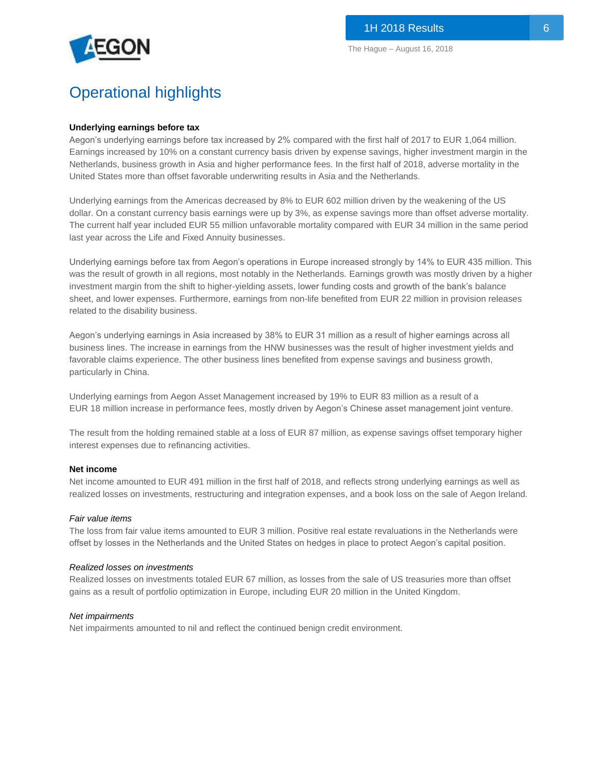

# Operational highlights

#### **Underlying earnings before tax**

Aegon's underlying earnings before tax increased by 2% compared with the first half of 2017 to EUR 1,064 million. Earnings increased by 10% on a constant currency basis driven by expense savings, higher investment margin in the Netherlands, business growth in Asia and higher performance fees. In the first half of 2018, adverse mortality in the United States more than offset favorable underwriting results in Asia and the Netherlands.

Underlying earnings from the Americas decreased by 8% to EUR 602 million driven by the weakening of the US dollar. On a constant currency basis earnings were up by 3%, as expense savings more than offset adverse mortality. The current half year included EUR 55 million unfavorable mortality compared with EUR 34 million in the same period last year across the Life and Fixed Annuity businesses.

Underlying earnings before tax from Aegon's operations in Europe increased strongly by 14% to EUR 435 million. This was the result of growth in all regions, most notably in the Netherlands. Earnings growth was mostly driven by a higher investment margin from the shift to higher-yielding assets, lower funding costs and growth of the bank's balance sheet, and lower expenses. Furthermore, earnings from non-life benefited from EUR 22 million in provision releases related to the disability business.

Aegon's underlying earnings in Asia increased by 38% to EUR 31 million as a result of higher earnings across all business lines. The increase in earnings from the HNW businesses was the result of higher investment yields and favorable claims experience. The other business lines benefited from expense savings and business growth, particularly in China.

Underlying earnings from Aegon Asset Management increased by 19% to EUR 83 million as a result of a EUR 18 million increase in performance fees, mostly driven by Aegon's Chinese asset management joint venture.

The result from the holding remained stable at a loss of EUR 87 million, as expense savings offset temporary higher interest expenses due to refinancing activities.

#### **Net income**

Net income amounted to EUR 491 million in the first half of 2018, and reflects strong underlying earnings as well as realized losses on investments, restructuring and integration expenses, and a book loss on the sale of Aegon Ireland.

#### *Fair value items*

The loss from fair value items amounted to EUR 3 million. Positive real estate revaluations in the Netherlands were offset by losses in the Netherlands and the United States on hedges in place to protect Aegon's capital position.

#### *Realized losses on investments*

Realized losses on investments totaled EUR 67 million, as losses from the sale of US treasuries more than offset gains as a result of portfolio optimization in Europe, including EUR 20 million in the United Kingdom.

#### *Net impairments*

Net impairments amounted to nil and reflect the continued benign credit environment.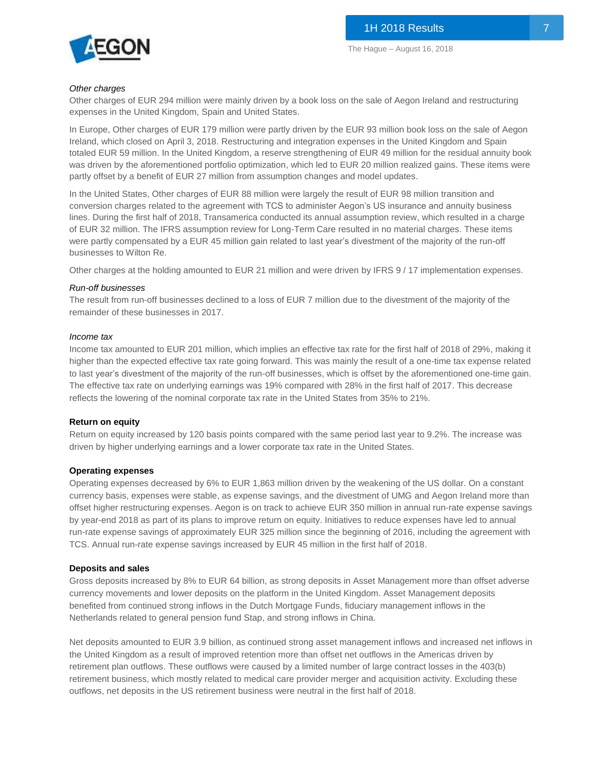

#### *Other charges*

Other charges of EUR 294 million were mainly driven by a book loss on the sale of Aegon Ireland and restructuring expenses in the United Kingdom, Spain and United States.

In Europe, Other charges of EUR 179 million were partly driven by the EUR 93 million book loss on the sale of Aegon Ireland, which closed on April 3, 2018. Restructuring and integration expenses in the United Kingdom and Spain totaled EUR 59 million. In the United Kingdom, a reserve strengthening of EUR 49 million for the residual annuity book was driven by the aforementioned portfolio optimization, which led to EUR 20 million realized gains. These items were partly offset by a benefit of EUR 27 million from assumption changes and model updates.

In the United States, Other charges of EUR 88 million were largely the result of EUR 98 million transition and conversion charges related to the agreement with TCS to administer Aegon's US insurance and annuity business lines. During the first half of 2018, Transamerica conducted its annual assumption review, which resulted in a charge of EUR 32 million. The IFRS assumption review for Long-Term Care resulted in no material charges. These items were partly compensated by a EUR 45 million gain related to last year's divestment of the majority of the run-off businesses to Wilton Re.

Other charges at the holding amounted to EUR 21 million and were driven by IFRS 9 / 17 implementation expenses.

#### *Run-off businesses*

The result from run-off businesses declined to a loss of EUR 7 million due to the divestment of the majority of the remainder of these businesses in 2017.

#### *Income tax*

Income tax amounted to EUR 201 million, which implies an effective tax rate for the first half of 2018 of 29%, making it higher than the expected effective tax rate going forward. This was mainly the result of a one-time tax expense related to last year's divestment of the majority of the run-off businesses, which is offset by the aforementioned one-time gain. The effective tax rate on underlying earnings was 19% compared with 28% in the first half of 2017. This decrease reflects the lowering of the nominal corporate tax rate in the United States from 35% to 21%.

#### **Return on equity**

Return on equity increased by 120 basis points compared with the same period last year to 9.2%. The increase was driven by higher underlying earnings and a lower corporate tax rate in the United States.

#### **Operating expenses**

Operating expenses decreased by 6% to EUR 1,863 million driven by the weakening of the US dollar. On a constant currency basis, expenses were stable, as expense savings, and the divestment of UMG and Aegon Ireland more than offset higher restructuring expenses. Aegon is on track to achieve EUR 350 million in annual run-rate expense savings by year-end 2018 as part of its plans to improve return on equity. Initiatives to reduce expenses have led to annual run-rate expense savings of approximately EUR 325 million since the beginning of 2016, including the agreement with TCS. Annual run-rate expense savings increased by EUR 45 million in the first half of 2018.

#### **Deposits and sales**

Gross deposits increased by 8% to EUR 64 billion, as strong deposits in Asset Management more than offset adverse currency movements and lower deposits on the platform in the United Kingdom. Asset Management deposits benefited from continued strong inflows in the Dutch Mortgage Funds, fiduciary management inflows in the Netherlands related to general pension fund Stap, and strong inflows in China.

Net deposits amounted to EUR 3.9 billion, as continued strong asset management inflows and increased net inflows in the United Kingdom as a result of improved retention more than offset net outflows in the Americas driven by retirement plan outflows. These outflows were caused by a limited number of large contract losses in the 403(b) retirement business, which mostly related to medical care provider merger and acquisition activity. Excluding these outflows, net deposits in the US retirement business were neutral in the first half of 2018.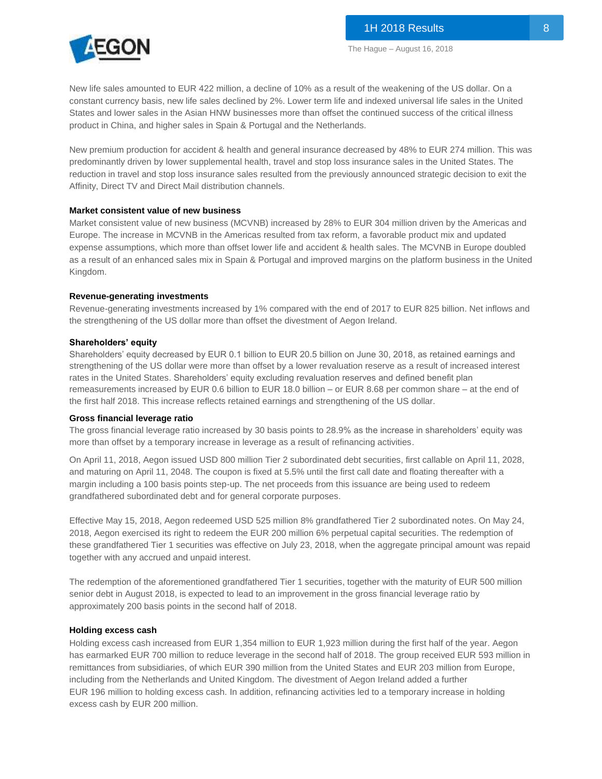New life sales amounted to EUR 422 million, a decline of 10% as a result of the weakening of the US dollar. On a constant currency basis, new life sales declined by 2%. Lower term life and indexed universal life sales in the United States and lower sales in the Asian HNW businesses more than offset the continued success of the critical illness product in China, and higher sales in Spain & Portugal and the Netherlands.

New premium production for accident & health and general insurance decreased by 48% to EUR 274 million. This was predominantly driven by lower supplemental health, travel and stop loss insurance sales in the United States. The reduction in travel and stop loss insurance sales resulted from the previously announced strategic decision to exit the Affinity, Direct TV and Direct Mail distribution channels.

#### **Market consistent value of new business**

Market consistent value of new business (MCVNB) increased by 28% to EUR 304 million driven by the Americas and Europe. The increase in MCVNB in the Americas resulted from tax reform, a favorable product mix and updated expense assumptions, which more than offset lower life and accident & health sales. The MCVNB in Europe doubled as a result of an enhanced sales mix in Spain & Portugal and improved margins on the platform business in the United Kingdom.

#### **Revenue-generating investments**

Revenue-generating investments increased by 1% compared with the end of 2017 to EUR 825 billion. Net inflows and the strengthening of the US dollar more than offset the divestment of Aegon Ireland.

#### **Shareholders' equity**

Shareholders' equity decreased by EUR 0.1 billion to EUR 20.5 billion on June 30, 2018, as retained earnings and strengthening of the US dollar were more than offset by a lower revaluation reserve as a result of increased interest rates in the United States. Shareholders' equity excluding revaluation reserves and defined benefit plan remeasurements increased by EUR 0.6 billion to EUR 18.0 billion – or EUR 8.68 per common share – at the end of the first half 2018. This increase reflects retained earnings and strengthening of the US dollar.

#### **Gross financial leverage ratio**

The gross financial leverage ratio increased by 30 basis points to 28.9% as the increase in shareholders' equity was more than offset by a temporary increase in leverage as a result of refinancing activities.

On April 11, 2018, Aegon issued USD 800 million Tier 2 subordinated debt securities, first callable on April 11, 2028, and maturing on April 11, 2048. The coupon is fixed at 5.5% until the first call date and floating thereafter with a margin including a 100 basis points step-up. The net proceeds from this issuance are being used to redeem grandfathered subordinated debt and for general corporate purposes.

Effective May 15, 2018, Aegon redeemed USD 525 million 8% grandfathered Tier 2 subordinated notes. On May 24, 2018, Aegon exercised its right to redeem the EUR 200 million 6% perpetual capital securities. The redemption of these grandfathered Tier 1 securities was effective on July 23, 2018, when the aggregate principal amount was repaid together with any accrued and unpaid interest.

The redemption of the aforementioned grandfathered Tier 1 securities, together with the maturity of EUR 500 million senior debt in August 2018, is expected to lead to an improvement in the gross financial leverage ratio by approximately 200 basis points in the second half of 2018.

#### **Holding excess cash**

Holding excess cash increased from EUR 1,354 million to EUR 1,923 million during the first half of the year. Aegon has earmarked EUR 700 million to reduce leverage in the second half of 2018. The group received EUR 593 million in remittances from subsidiaries, of which EUR 390 million from the United States and EUR 203 million from Europe, including from the Netherlands and United Kingdom. The divestment of Aegon Ireland added a further EUR 196 million to holding excess cash. In addition, refinancing activities led to a temporary increase in holding excess cash by EUR 200 million.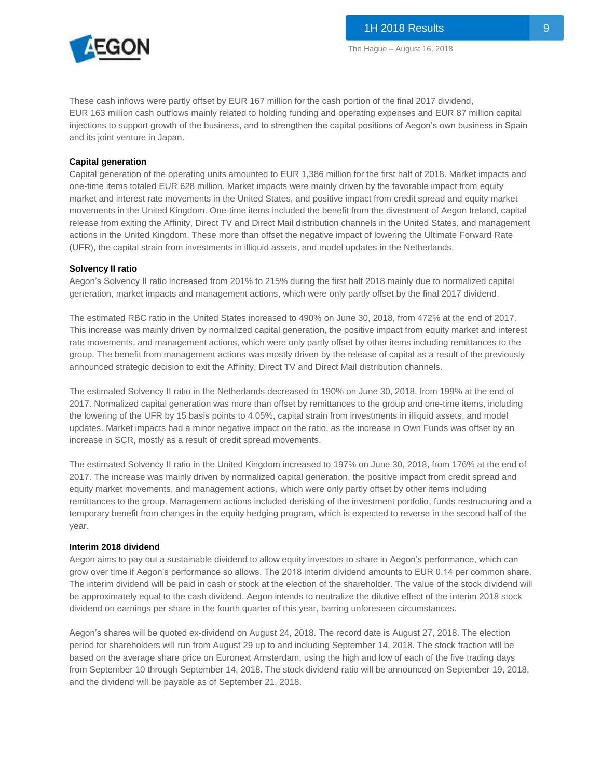

These cash inflows were partly offset by EUR 167 million for the cash portion of the final 2017 dividend, EUR 163 million cash outflows mainly related to holding funding and operating expenses and EUR 87 million capital injections to support growth of the business, and to strengthen the capital positions of Aegon's own business in Spain and its joint venture in Japan.

#### **Capital generation**

Capital generation of the operating units amounted to EUR 1,386 million for the first half of 2018. Market impacts and one-time items totaled EUR 628 million. Market impacts were mainly driven by the favorable impact from equity market and interest rate movements in the United States, and positive impact from credit spread and equity market movements in the United Kingdom. One-time items included the benefit from the divestment of Aegon Ireland, capital release from exiting the Affinity, Direct TV and Direct Mail distribution channels in the United States, and management actions in the United Kingdom. These more than offset the negative impact of lowering the Ultimate Forward Rate (UFR), the capital strain from investments in illiquid assets, and model updates in the Netherlands.

#### **Solvency II ratio**

Aegon's Solvency II ratio increased from 201% to 215% during the first half 2018 mainly due to normalized capital generation, market impacts and management actions, which were only partly offset by the final 2017 dividend.

The estimated RBC ratio in the United States increased to 490% on June 30, 2018, from 472% at the end of 2017. This increase was mainly driven by normalized capital generation, the positive impact from equity market and interest rate movements, and management actions, which were only partly offset by other items including remittances to the group. The benefit from management actions was mostly driven by the release of capital as a result of the previously announced strategic decision to exit the Affinity, Direct TV and Direct Mail distribution channels.

The estimated Solvency II ratio in the Netherlands decreased to 190% on June 30, 2018, from 199% at the end of 2017. Normalized capital generation was more than offset by remittances to the group and one-time items, including the lowering of the UFR by 15 basis points to 4.05%, capital strain from investments in illiquid assets, and model updates. Market impacts had a minor negative impact on the ratio, as the increase in Own Funds was offset by an increase in SCR, mostly as a result of credit spread movements.

The estimated Solvency II ratio in the United Kingdom increased to 197% on June 30, 2018, from 176% at the end of 2017. The increase was mainly driven by normalized capital generation, the positive impact from credit spread and equity market movements, and management actions, which were only partly offset by other items including remittances to the group. Management actions included derisking of the investment portfolio, funds restructuring and a temporary benefit from changes in the equity hedging program, which is expected to reverse in the second half of the year.

#### **Interim 2018 dividend**

Aegon aims to pay out a sustainable dividend to allow equity investors to share in Aegon's performance, which can grow over time if Aegon's performance so allows. The 2018 interim dividend amounts to EUR 0.14 per common share. The interim dividend will be paid in cash or stock at the election of the shareholder. The value of the stock dividend will be approximately equal to the cash dividend. Aegon intends to neutralize the dilutive effect of the interim 2018 stock dividend on earnings per share in the fourth quarter of this year, barring unforeseen circumstances.

Aegon's shares will be quoted ex-dividend on August 24, 2018. The record date is August 27, 2018. The election period for shareholders will run from August 29 up to and including September 14, 2018. The stock fraction will be based on the average share price on Euronext Amsterdam, using the high and low of each of the five trading days from September 10 through September 14, 2018. The stock dividend ratio will be announced on September 19, 2018, and the dividend will be payable as of September 21, 2018.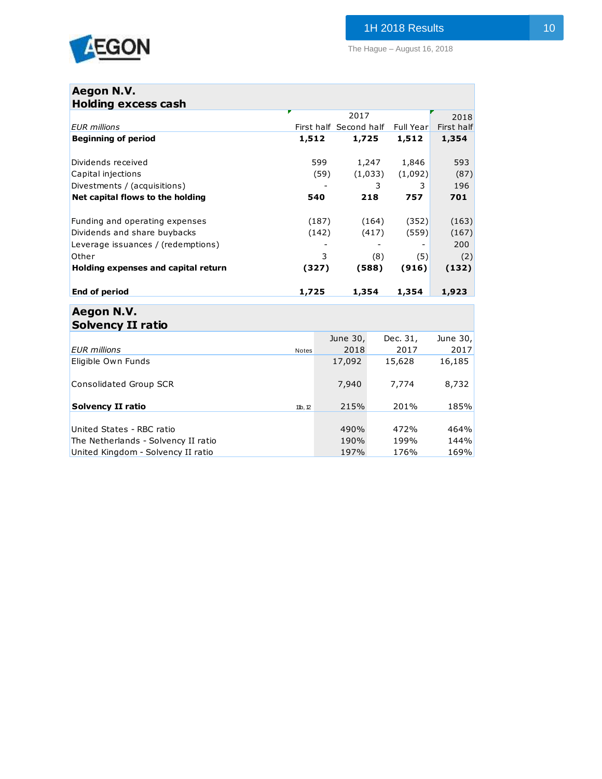

The Hague – August 16, 2018

## **Aegon N.V. Holding excess cash**

|                                     |       | 2017                   |                  | 2018       |
|-------------------------------------|-------|------------------------|------------------|------------|
| <b>EUR</b> millions                 |       | First half Second half | <b>Full Year</b> | First half |
| <b>Beginning of period</b>          | 1,512 | 1,725                  | 1,512            | 1,354      |
|                                     |       |                        |                  |            |
| Dividends received                  | 599   | 1,247                  | 1,846            | 593        |
| Capital injections                  | (59)  | (1,033)                | (1,092)          | (87)       |
| Divestments / (acquisitions)        |       | 3                      | 3                | 196        |
| Net capital flows to the holding    | 540   | 218                    | 757              | 701        |
| Funding and operating expenses      | (187) | (164)                  | (352)            | (163)      |
| Dividends and share buybacks        | (142) | (417)                  | (559)            | (167)      |
| Leverage issuances / (redemptions)  |       |                        |                  | 200        |
| Other                               | 3     | (8)                    | (5)              | (2)        |
| Holding expenses and capital return | (327) | (588)                  | (916)            | (132)      |
| End of period                       | 1,725 | 1,354                  | 1,354            | 1,923      |
| Aegon N.V.                          |       |                        |                  |            |

## **Solvency II ratio** June 30, Dec. 31, June 30, *EUR millions* Notes 2018 2017 2017 Eligible Own Funds 17,092 15,628 16,185 Consolidated Group SCR 2012 12:00 7,940 7,774 8,732 **Solvency II ratio** 185% 185% 185% 185% 185% United States - RBC ratio 490% 472% 464% The Netherlands - Solvency II ratio 190% 190% 144% United Kingdom - Solvency II ratio 197% 197% 176% 169%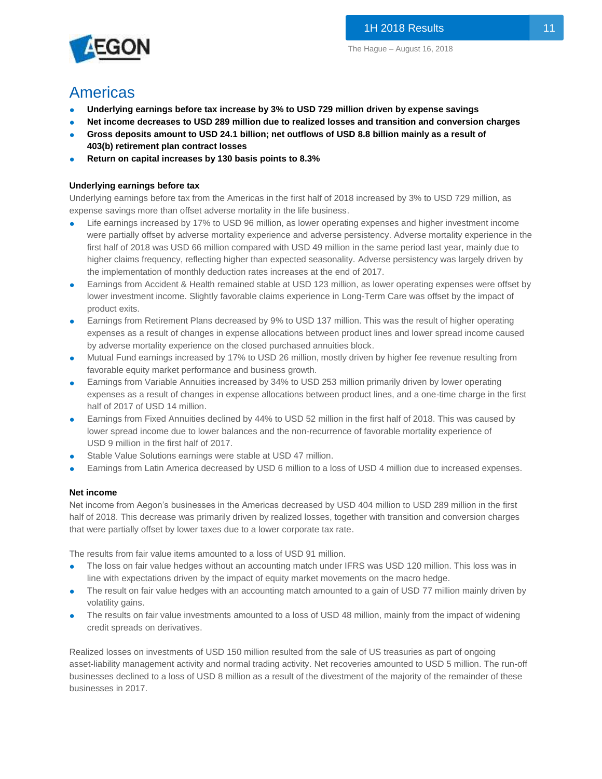

## Americas

- **Underlying earnings before tax increase by 3% to USD 729 million driven by expense savings**
- Net income decreases to USD 289 million due to realized losses and transition and conversion charges
- **Gross deposits amount to USD 24.1 billion; net outflows of USD 8.8 billion mainly as a result of 403(b) retirement plan contract losses**
- **Return on capital increases by 130 basis points to 8.3%**

## **Underlying earnings before tax**

Underlying earnings before tax from the Americas in the first half of 2018 increased by 3% to USD 729 million, as expense savings more than offset adverse mortality in the life business.

- Life earnings increased by 17% to USD 96 million, as lower operating expenses and higher investment income were partially offset by adverse mortality experience and adverse persistency. Adverse mortality experience in the first half of 2018 was USD 66 million compared with USD 49 million in the same period last year, mainly due to higher claims frequency, reflecting higher than expected seasonality. Adverse persistency was largely driven by the implementation of monthly deduction rates increases at the end of 2017.
- Earnings from Accident & Health remained stable at USD 123 million, as lower operating expenses were offset by lower investment income. Slightly favorable claims experience in Long-Term Care was offset by the impact of product exits.
- Earnings from Retirement Plans decreased by 9% to USD 137 million. This was the result of higher operating expenses as a result of changes in expense allocations between product lines and lower spread income caused by adverse mortality experience on the closed purchased annuities block.
- Mutual Fund earnings increased by 17% to USD 26 million, mostly driven by higher fee revenue resulting from favorable equity market performance and business growth.
- Earnings from Variable Annuities increased by 34% to USD 253 million primarily driven by lower operating expenses as a result of changes in expense allocations between product lines, and a one-time charge in the first half of 2017 of USD 14 million.
- Earnings from Fixed Annuities declined by 44% to USD 52 million in the first half of 2018. This was caused by lower spread income due to lower balances and the non-recurrence of favorable mortality experience of USD 9 million in the first half of 2017.
- Stable Value Solutions earnings were stable at USD 47 million.
- Earnings from Latin America decreased by USD 6 million to a loss of USD 4 million due to increased expenses.

## **Net income**

Net income from Aegon's businesses in the Americas decreased by USD 404 million to USD 289 million in the first half of 2018. This decrease was primarily driven by realized losses, together with transition and conversion charges that were partially offset by lower taxes due to a lower corporate tax rate.

The results from fair value items amounted to a loss of USD 91 million.

- The loss on fair value hedges without an accounting match under IFRS was USD 120 million. This loss was in line with expectations driven by the impact of equity market movements on the macro hedge.
- The result on fair value hedges with an accounting match amounted to a gain of USD 77 million mainly driven by volatility gains.
- The results on fair value investments amounted to a loss of USD 48 million, mainly from the impact of widening credit spreads on derivatives.

Realized losses on investments of USD 150 million resulted from the sale of US treasuries as part of ongoing asset-liability management activity and normal trading activity. Net recoveries amounted to USD 5 million. The run-off businesses declined to a loss of USD 8 million as a result of the divestment of the majority of the remainder of these businesses in 2017.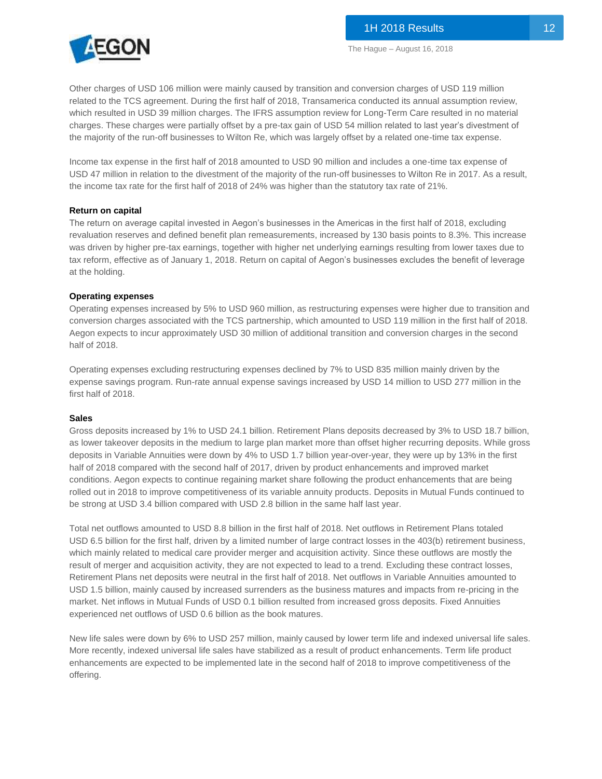

Other charges of USD 106 million were mainly caused by transition and conversion charges of USD 119 million related to the TCS agreement. During the first half of 2018, Transamerica conducted its annual assumption review, which resulted in USD 39 million charges. The IFRS assumption review for Long-Term Care resulted in no material charges. These charges were partially offset by a pre-tax gain of USD 54 million related to last year's divestment of the majority of the run-off businesses to Wilton Re, which was largely offset by a related one-time tax expense.

Income tax expense in the first half of 2018 amounted to USD 90 million and includes a one-time tax expense of USD 47 million in relation to the divestment of the majority of the run-off businesses to Wilton Re in 2017. As a result, the income tax rate for the first half of 2018 of 24% was higher than the statutory tax rate of 21%.

#### **Return on capital**

The return on average capital invested in Aegon's businesses in the Americas in the first half of 2018, excluding revaluation reserves and defined benefit plan remeasurements, increased by 130 basis points to 8.3%. This increase was driven by higher pre-tax earnings, together with higher net underlying earnings resulting from lower taxes due to tax reform, effective as of January 1, 2018. Return on capital of Aegon's businesses excludes the benefit of leverage at the holding.

#### **Operating expenses**

Operating expenses increased by 5% to USD 960 million, as restructuring expenses were higher due to transition and conversion charges associated with the TCS partnership, which amounted to USD 119 million in the first half of 2018. Aegon expects to incur approximately USD 30 million of additional transition and conversion charges in the second half of 2018.

Operating expenses excluding restructuring expenses declined by 7% to USD 835 million mainly driven by the expense savings program. Run-rate annual expense savings increased by USD 14 million to USD 277 million in the first half of 2018.

#### **Sales**

Gross deposits increased by 1% to USD 24.1 billion. Retirement Plans deposits decreased by 3% to USD 18.7 billion, as lower takeover deposits in the medium to large plan market more than offset higher recurring deposits. While gross deposits in Variable Annuities were down by 4% to USD 1.7 billion year-over-year, they were up by 13% in the first half of 2018 compared with the second half of 2017, driven by product enhancements and improved market conditions. Aegon expects to continue regaining market share following the product enhancements that are being rolled out in 2018 to improve competitiveness of its variable annuity products. Deposits in Mutual Funds continued to be strong at USD 3.4 billion compared with USD 2.8 billion in the same half last year.

Total net outflows amounted to USD 8.8 billion in the first half of 2018. Net outflows in Retirement Plans totaled USD 6.5 billion for the first half, driven by a limited number of large contract losses in the 403(b) retirement business, which mainly related to medical care provider merger and acquisition activity. Since these outflows are mostly the result of merger and acquisition activity, they are not expected to lead to a trend. Excluding these contract losses, Retirement Plans net deposits were neutral in the first half of 2018. Net outflows in Variable Annuities amounted to USD 1.5 billion, mainly caused by increased surrenders as the business matures and impacts from re-pricing in the market. Net inflows in Mutual Funds of USD 0.1 billion resulted from increased gross deposits. Fixed Annuities experienced net outflows of USD 0.6 billion as the book matures.

New life sales were down by 6% to USD 257 million, mainly caused by lower term life and indexed universal life sales. More recently, indexed universal life sales have stabilized as a result of product enhancements. Term life product enhancements are expected to be implemented late in the second half of 2018 to improve competitiveness of the offering.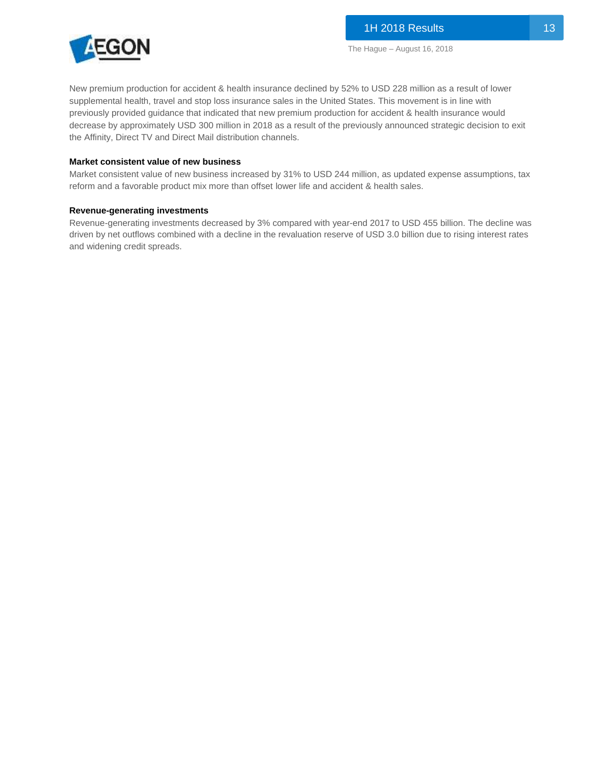

New premium production for accident & health insurance declined by 52% to USD 228 million as a result of lower supplemental health, travel and stop loss insurance sales in the United States. This movement is in line with previously provided guidance that indicated that new premium production for accident & health insurance would decrease by approximately USD 300 million in 2018 as a result of the previously announced strategic decision to exit the Affinity, Direct TV and Direct Mail distribution channels.

#### **Market consistent value of new business**

Market consistent value of new business increased by 31% to USD 244 million, as updated expense assumptions, tax reform and a favorable product mix more than offset lower life and accident & health sales.

#### **Revenue-generating investments**

Revenue-generating investments decreased by 3% compared with year-end 2017 to USD 455 billion. The decline was driven by net outflows combined with a decline in the revaluation reserve of USD 3.0 billion due to rising interest rates and widening credit spreads.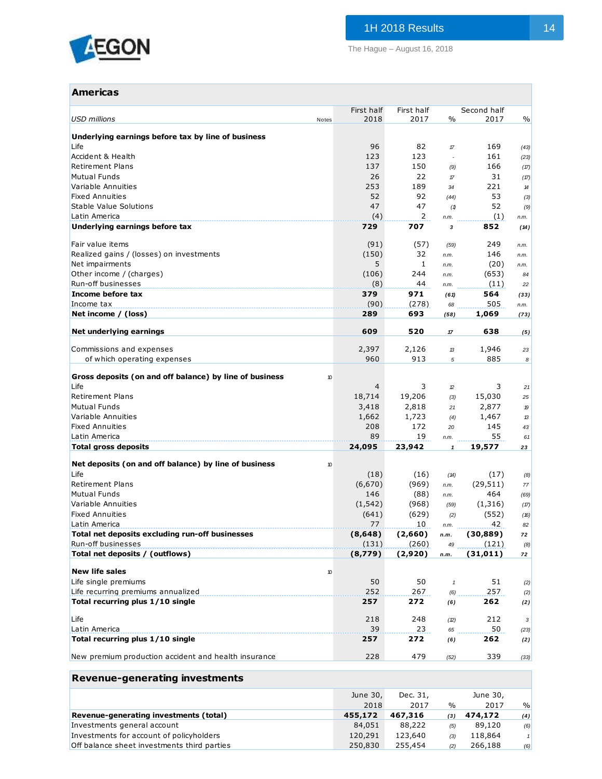

The Hague – August 16, 2018

## **Americas**

| USD millions<br>Notes                                                 | First half<br>2018 | First half<br>2017 | $\%$                       | Second half<br>2017 | $\frac{0}{0}$       |
|-----------------------------------------------------------------------|--------------------|--------------------|----------------------------|---------------------|---------------------|
|                                                                       |                    |                    |                            |                     |                     |
| Underlying earnings before tax by line of business<br>Life            |                    | 82                 |                            |                     |                     |
| Accident & Health                                                     | 96<br>123          | 123                | 17<br>$\overline{a}$       | 169<br>161          | (43)<br>(23)        |
| <b>Retirement Plans</b>                                               | 137                | 150                | (9)                        | 166                 | (17)                |
| <b>Mutual Funds</b>                                                   | 26                 | 22                 | $\pi$                      | 31                  | (17)                |
| Variable Annuities                                                    | 253                | 189                | 34                         | 221                 | 14                  |
| <b>Fixed Annuities</b>                                                | 52                 | 92                 | (44)                       | 53                  | (3)                 |
| <b>Stable Value Solutions</b>                                         | 47                 | 47                 | (1)                        | 52                  | (9)                 |
| Latin America                                                         | (4)                | 2                  | n.m.                       | (1)                 | n.m.                |
| Underlying earnings before tax                                        | 729                | 707                | 3                          | 852                 | (14)                |
| Fair value items                                                      | (91)               | (57)               | (59)                       | 249                 | n.m.                |
| Realized gains / (losses) on investments                              | (150)              | 32                 | n.m.                       | 146                 | n.m.                |
| Net impairments                                                       | 5                  | $\mathbf{1}$       | n.m.                       | (20)                | n.m.                |
| Other income / (charges)                                              | (106)              | 244                | n.m.                       | (653)               | 84                  |
| Run-off businesses                                                    | (8)                | 44                 | n.m.                       | (11)                | 22                  |
| Income before tax                                                     | 379                | 971                | (61)                       | 564                 | (33)                |
| Income tax                                                            | (90)               | (278)              | 68                         | 505                 | n.m.                |
| Net income / (loss)                                                   | 289                | 693                | (58)                       | 1,069               | (73)                |
| Net underlying earnings                                               | 609                | 520                | 17                         | 638                 | (5)                 |
| Commissions and expenses                                              | 2,397              | 2,126              | 13                         | 1,946               | 23                  |
| of which operating expenses                                           | 960                | 913                | 5                          | 885                 | 8                   |
|                                                                       |                    |                    |                            |                     |                     |
| Gross deposits (on and off balance) by line of business<br>10         |                    |                    |                            |                     |                     |
| Life                                                                  | 4                  | 3                  | 12                         | 3                   | 21                  |
| <b>Retirement Plans</b>                                               | 18,714             | 19,206             | (3)                        | 15,030              | 25                  |
| <b>Mutual Funds</b>                                                   | 3,418              | 2,818              | 21                         | 2,877               | 19                  |
| Variable Annuities                                                    | 1,662              | 1,723              | (4)                        | 1,467               | 13                  |
| <b>Fixed Annuities</b><br>Latin America                               | 208<br>89          | 172<br>19          | 20                         | 145<br>55           | 43                  |
| <b>Total gross deposits</b>                                           | 24,095             | 23,942             | n.m.<br>1                  | 19,577              | 61<br>23            |
|                                                                       |                    |                    |                            |                     |                     |
| Net deposits (on and off balance) by line of business<br>10           |                    |                    |                            |                     |                     |
| Life                                                                  | (18)               | (16)               | (A)                        | (17)                | (8)                 |
| <b>Retirement Plans</b>                                               | (6,670)            | (969)              | n.m.                       | (29, 511)           | 77                  |
| <b>Mutual Funds</b>                                                   | 146                | (88)               | n.m.                       | 464                 | (69)                |
| Variable Annuities<br><b>Fixed Annuities</b>                          | (1, 542)<br>(641)  | (968)<br>(629)     | (59)                       | (1,316)<br>(552)    | (17)                |
| Latin America                                                         | 77                 | 10                 | (2)<br>n.m.                | 42                  | (16)<br>82          |
| Total net deposits excluding run-off businesses                       | (8, 648)           | (2,660)            | n.m.                       | (30,889)            | 72                  |
| Run-off businesses                                                    | (131)              | (260)              | 49                         | (121)               | (8)                 |
| Total net deposits / (outflows)                                       | (8,779)            | (2,920)            | n.m.                       | (31, 011)           | 72                  |
| <b>New life sales</b>                                                 |                    |                    |                            |                     |                     |
| 10<br>Life single premiums                                            | 50                 | 50                 | $\boldsymbol{\mathcal{I}}$ | 51                  |                     |
| Life recurring premiums annualized                                    | 252                | 267                | (6)                        | 257                 | (2)<br>(2)          |
| Total recurring plus 1/10 single                                      | 257                | 272                | (6)                        | 262                 | (2)                 |
|                                                                       |                    |                    |                            |                     |                     |
| Life                                                                  | 218                | 248                | (2)                        | 212                 | 3                   |
| Latin America                                                         | 39                 | 23                 | 65                         | 50                  | (23)                |
| Total recurring plus 1/10 single                                      | 257                | 272                | (6)                        | 262                 | (2)                 |
| New premium production accident and health insurance                  | 228                | 479                | (52)                       | 339                 | (33)                |
| <b>Revenue-generating investments</b>                                 |                    |                    |                            |                     |                     |
|                                                                       |                    |                    |                            |                     |                     |
|                                                                       | June 30,           | Dec. 31,           |                            | June 30,            |                     |
|                                                                       | 2018               | 2017               | $\%$                       | 2017                | $\frac{0}{0}$       |
| Revenue-generating investments (total)<br>Investments general account | 455,172<br>84,051  | 467,316<br>88,222  | (3)                        | 474,172<br>89,120   | (4)                 |
| Investments for account of policyholders                              | 120,291            | 123,640            | (5)<br>(3)                 | 118,864             | (6)<br>$\mathbf{1}$ |
| Off balance sheet investments third parties                           | 250,830            | 255,454            | (2)                        | 266,188             | (6)                 |
|                                                                       |                    |                    |                            |                     |                     |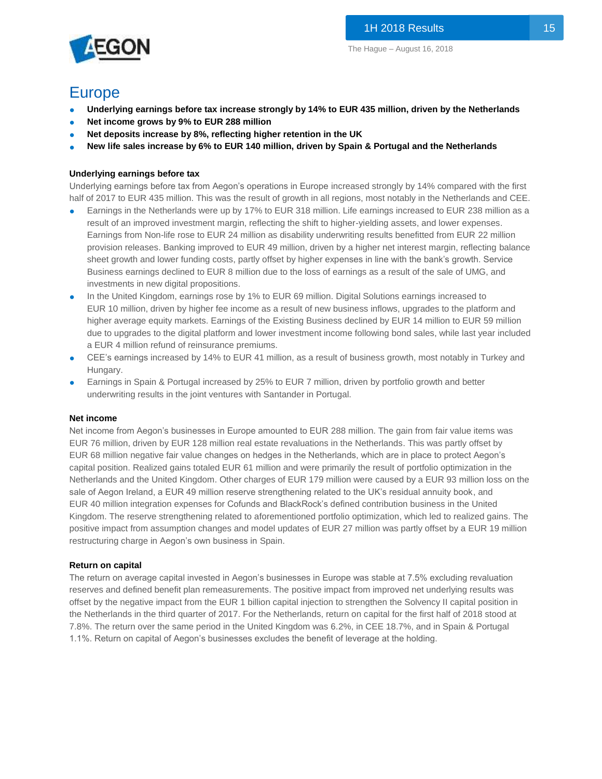

## Europe

- **Underlying earnings before tax increase strongly by 14% to EUR 435 million, driven by the Netherlands**
- Net income grows by 9% to EUR 288 million
- Net deposits increase by 8%, reflecting higher retention in the UK
- **New life sales increase by 6% to EUR 140 million, driven by Spain & Portugal and the Netherlands**

### **Underlying earnings before tax**

Underlying earnings before tax from Aegon's operations in Europe increased strongly by 14% compared with the first half of 2017 to EUR 435 million. This was the result of growth in all regions, most notably in the Netherlands and CEE.

- Earnings in the Netherlands were up by 17% to EUR 318 million. Life earnings increased to EUR 238 million as a result of an improved investment margin, reflecting the shift to higher-yielding assets, and lower expenses. Earnings from Non-life rose to EUR 24 million as disability underwriting results benefitted from EUR 22 million provision releases. Banking improved to EUR 49 million, driven by a higher net interest margin, reflecting balance sheet growth and lower funding costs, partly offset by higher expenses in line with the bank's growth. Service Business earnings declined to EUR 8 million due to the loss of earnings as a result of the sale of UMG, and investments in new digital propositions.
- In the United Kingdom, earnings rose by 1% to EUR 69 million. Digital Solutions earnings increased to EUR 10 million, driven by higher fee income as a result of new business inflows, upgrades to the platform and higher average equity markets. Earnings of the Existing Business declined by EUR 14 million to EUR 59 million due to upgrades to the digital platform and lower investment income following bond sales, while last year included a EUR 4 million refund of reinsurance premiums.
- CEE's earnings increased by 14% to EUR 41 million, as a result of business growth, most notably in Turkey and Hungary.
- Earnings in Spain & Portugal increased by 25% to EUR 7 million, driven by portfolio growth and better underwriting results in the joint ventures with Santander in Portugal.

#### **Net income**

Net income from Aegon's businesses in Europe amounted to EUR 288 million. The gain from fair value items was EUR 76 million, driven by EUR 128 million real estate revaluations in the Netherlands. This was partly offset by EUR 68 million negative fair value changes on hedges in the Netherlands, which are in place to protect Aegon's capital position. Realized gains totaled EUR 61 million and were primarily the result of portfolio optimization in the Netherlands and the United Kingdom. Other charges of EUR 179 million were caused by a EUR 93 million loss on the sale of Aegon Ireland, a EUR 49 million reserve strengthening related to the UK's residual annuity book, and EUR 40 million integration expenses for Cofunds and BlackRock's defined contribution business in the United Kingdom. The reserve strengthening related to aforementioned portfolio optimization, which led to realized gains. The positive impact from assumption changes and model updates of EUR 27 million was partly offset by a EUR 19 million restructuring charge in Aegon's own business in Spain.

#### **Return on capital**

The return on average capital invested in Aegon's businesses in Europe was stable at 7.5% excluding revaluation reserves and defined benefit plan remeasurements. The positive impact from improved net underlying results was offset by the negative impact from the EUR 1 billion capital injection to strengthen the Solvency II capital position in the Netherlands in the third quarter of 2017. For the Netherlands, return on capital for the first half of 2018 stood at 7.8%. The return over the same period in the United Kingdom was 6.2%, in CEE 18.7%, and in Spain & Portugal 1.1%. Return on capital of Aegon's businesses excludes the benefit of leverage at the holding.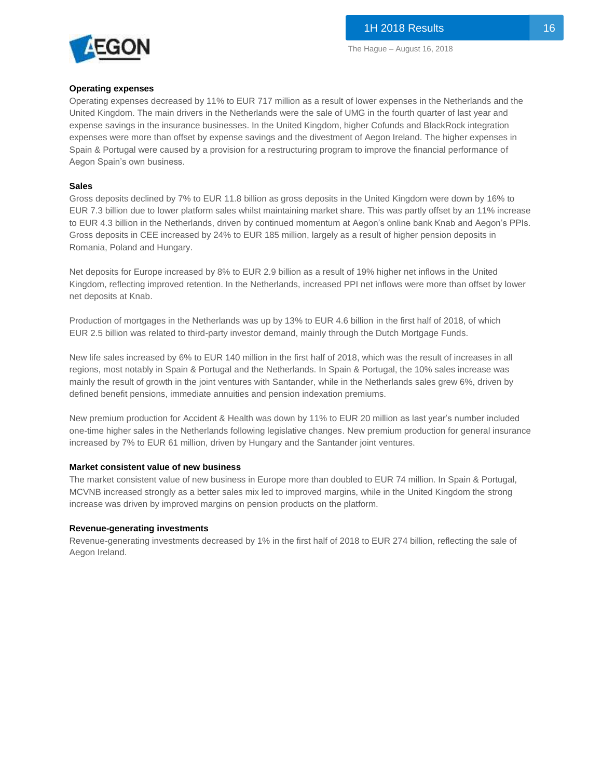

#### **Operating expenses**

Operating expenses decreased by 11% to EUR 717 million as a result of lower expenses in the Netherlands and the United Kingdom. The main drivers in the Netherlands were the sale of UMG in the fourth quarter of last year and expense savings in the insurance businesses. In the United Kingdom, higher Cofunds and BlackRock integration expenses were more than offset by expense savings and the divestment of Aegon Ireland. The higher expenses in Spain & Portugal were caused by a provision for a restructuring program to improve the financial performance of Aegon Spain's own business.

#### **Sales**

Gross deposits declined by 7% to EUR 11.8 billion as gross deposits in the United Kingdom were down by 16% to EUR 7.3 billion due to lower platform sales whilst maintaining market share. This was partly offset by an 11% increase to EUR 4.3 billion in the Netherlands, driven by continued momentum at Aegon's online bank Knab and Aegon's PPIs. Gross deposits in CEE increased by 24% to EUR 185 million, largely as a result of higher pension deposits in Romania, Poland and Hungary.

Net deposits for Europe increased by 8% to EUR 2.9 billion as a result of 19% higher net inflows in the United Kingdom, reflecting improved retention. In the Netherlands, increased PPI net inflows were more than offset by lower net deposits at Knab.

Production of mortgages in the Netherlands was up by 13% to EUR 4.6 billion in the first half of 2018, of which EUR 2.5 billion was related to third-party investor demand, mainly through the Dutch Mortgage Funds.

New life sales increased by 6% to EUR 140 million in the first half of 2018, which was the result of increases in all regions, most notably in Spain & Portugal and the Netherlands. In Spain & Portugal, the 10% sales increase was mainly the result of growth in the joint ventures with Santander, while in the Netherlands sales grew 6%, driven by defined benefit pensions, immediate annuities and pension indexation premiums.

New premium production for Accident & Health was down by 11% to EUR 20 million as last year's number included one-time higher sales in the Netherlands following legislative changes. New premium production for general insurance increased by 7% to EUR 61 million, driven by Hungary and the Santander joint ventures.

#### **Market consistent value of new business**

The market consistent value of new business in Europe more than doubled to EUR 74 million. In Spain & Portugal, MCVNB increased strongly as a better sales mix led to improved margins, while in the United Kingdom the strong increase was driven by improved margins on pension products on the platform.

#### **Revenue-generating investments**

Revenue-generating investments decreased by 1% in the first half of 2018 to EUR 274 billion, reflecting the sale of Aegon Ireland.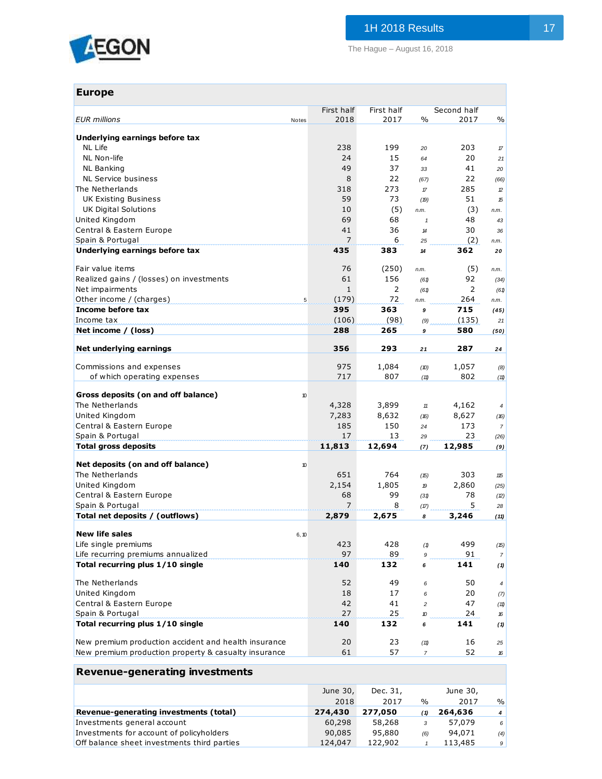

| <b>Europe</b>                                                           |                    |                    |                            |                     |                  |
|-------------------------------------------------------------------------|--------------------|--------------------|----------------------------|---------------------|------------------|
| <b>EUR</b> millions<br><b>Notes</b>                                     | First half<br>2018 | First half<br>2017 | $\%$                       | Second half<br>2017 | %                |
|                                                                         |                    |                    |                            |                     |                  |
| Underlying earnings before tax<br><b>NL Life</b>                        | 238                | 199                |                            | 203                 |                  |
| NL Non-life                                                             | 24                 | 15                 | 20<br>64                   | 20                  | $\pi$<br>21      |
| <b>NL Banking</b>                                                       | 49                 | 37                 | 33                         | 41                  | 20               |
| NL Service business                                                     | 8                  | 22                 | (67)                       | 22                  | (66)             |
| The Netherlands                                                         | 318                | 273                | $\pi$                      | 285                 | $\mathcal D$     |
| <b>UK Existing Business</b>                                             | 59                 | 73                 | (19)                       | 51                  | 15               |
| UK Digital Solutions                                                    | 10                 | (5)                | n.m.                       | (3)                 | n.m.             |
| United Kingdom                                                          | 69                 | 68                 | $\mathbf{1}$               | 48                  | 43               |
| Central & Eastern Europe                                                | 41                 | 36                 | $\boldsymbol{\mathcal{H}}$ | 30                  | 36               |
| Spain & Portugal                                                        | 7                  | 6                  | 25                         | (2)                 | n.m.             |
| Underlying earnings before tax                                          | 435                | 383                | 14                         | 362                 | 20               |
| Fair value items                                                        | 76                 | (250)              | n.m.                       | (5)                 | n.m.             |
| Realized gains / (losses) on investments                                | 61                 | 156                | (61)                       | 92                  | (34)             |
| Net impairments                                                         | $\mathbf{1}$       | $\overline{2}$     | (61)                       | 2                   | (61)             |
| Other income / (charges)<br>5                                           | (179)              | 72                 | n.m.                       | 264                 | n.m.             |
| Income before tax                                                       | 395                | 363                | 9                          | 715                 | (45)             |
| Income tax                                                              | (106)              | (98)               | (9)                        | (135)               | 21               |
| Net income / (loss)                                                     | 288                | 265                | 9                          | 580                 | (50)             |
| Net underlying earnings                                                 | 356                | 293                | 21                         | 287                 | 24               |
| Commissions and expenses                                                | 975                | 1,084              |                            | 1,057               |                  |
| of which operating expenses                                             | 717                | 807                | (10)<br>(11)               | 802                 | (8)<br>(11)      |
|                                                                         |                    |                    |                            |                     |                  |
| Gross deposits (on and off balance)<br>10                               |                    |                    |                            |                     |                  |
| The Netherlands                                                         | 4,328              | 3,899              | $11$                       | 4,162               | 4                |
| United Kingdom                                                          | 7,283              | 8,632              | (16)                       | 8,627               | (16)             |
| Central & Eastern Europe                                                | 185                | 150                | 24                         | 173                 | $\overline{7}$   |
| Spain & Portugal                                                        | 17                 | 13                 | 29                         | 23                  | (26)             |
| <b>Total gross deposits</b>                                             | 11,813             | 12,694             | (7)                        | 12,985              | (9)              |
| Net deposits (on and off balance)<br>10                                 |                    |                    |                            |                     |                  |
| The Netherlands                                                         | 651                | 764                | (15)                       | 303                 | 115              |
| United Kingdom                                                          | 2,154              | 1,805              | 19                         | 2,860               | (25)             |
| Central & Eastern Europe                                                | 68                 | 99                 | (31)                       | 78                  | (2)              |
| Spain & Portugal                                                        | 7                  | 8                  | (17)                       | 5                   | 28               |
| Total net deposits / (outflows)                                         | 2,879              | 2,675              | 8                          | 3,246               | (11)             |
| <b>New life sales</b><br>6, 10                                          |                    |                    |                            |                     |                  |
| Life single premiums                                                    | 423                | 428                | (1)                        | 499                 | (15)             |
| Life recurring premiums annualized                                      | 97                 | 89                 | 9                          | 91                  | $\overline{7}$   |
| Total recurring plus 1/10 single                                        | 140                | 132                | 6                          | 141                 | (1)              |
| The Netherlands                                                         | 52                 | 49                 | 6                          | 50                  | $\pmb{4}$        |
| United Kingdom                                                          | 18                 | 17                 | 6                          | 20                  | (7)              |
| Central & Eastern Europe                                                | 42                 | 41                 | $\overline{c}$             | 47                  | (11)             |
| Spain & Portugal                                                        | 27                 | 25                 | 10                         | 24                  | 16               |
| Total recurring plus 1/10 single                                        | 140                | 132                | 6                          | 141                 | (1)              |
| New premium production accident and health insurance                    | 20                 | 23                 | (11)                       | 16                  | 25               |
| New premium production property & casualty insurance                    | 61                 | 57                 | $\overline{7}$             | 52                  | 16               |
| <b>Revenue-generating investments</b>                                   |                    |                    |                            |                     |                  |
|                                                                         |                    |                    |                            |                     |                  |
|                                                                         | June 30,           | Dec. 31,           |                            | June 30,            |                  |
|                                                                         | 2018               | 2017               | %                          | 2017                | %                |
| Revenue-generating investments (total)                                  | 274,430            | 277,050            | (1)                        | 264,636             | $\boldsymbol{4}$ |
| Investments general account<br>Investments for account of policyholders | 60,298<br>90,085   | 58,268<br>95,880   | 3                          | 57,079<br>94,071    | 6                |
| Off balance sheet investments third parties                             | 124,047            | 122,902            | (6)<br>$\mathbf{1}$        | 113,485             | (4)<br>9         |
|                                                                         |                    |                    |                            |                     |                  |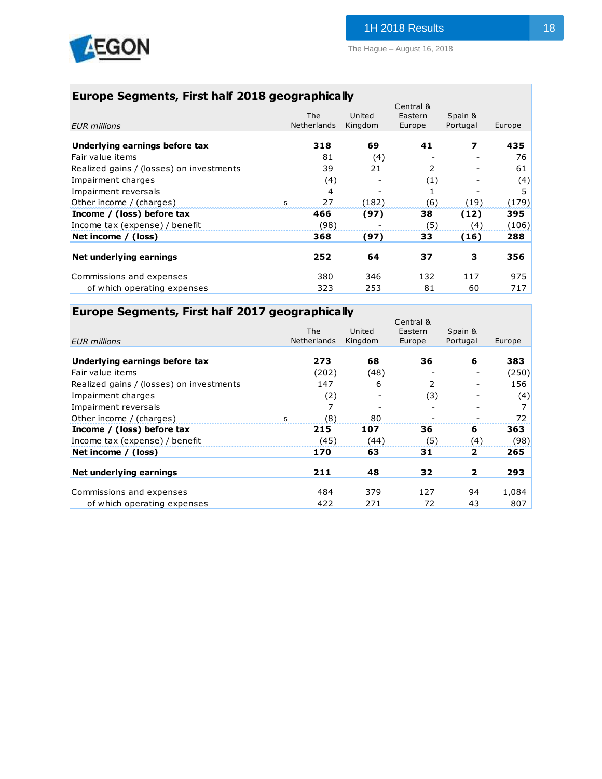

## **Europe Segments, First half 2018 geographically**

|                                          |   |             |         | Central & |          |        |
|------------------------------------------|---|-------------|---------|-----------|----------|--------|
|                                          |   | <b>The</b>  | United  | Eastern   | Spain &  |        |
| <b>EUR</b> millions                      |   | Netherlands | Kingdom | Europe    | Portugal | Europe |
|                                          |   |             |         |           |          |        |
| Underlying earnings before tax           |   | 318         | 69      | 41        | 7        | 435    |
| Fair value items                         |   | 81          | (4)     |           |          | 76     |
| Realized gains / (losses) on investments |   | 39          | 21      | 2         |          | 61     |
| Impairment charges                       |   | (4)         |         | (1)       |          | (4)    |
| Impairment reversals                     |   | 4           |         | 1         |          | 5      |
| Other income / (charges)                 | 5 | 27          | (182)   | (6)       | (19)     | (179)  |
| Income / (loss) before tax               |   | 466         | (97)    | 38        | (12)     | 395    |
| Income tax (expense) / benefit           |   | (98)        |         | (5)       | (4)      | (106)  |
| Net income / (loss)                      |   | 368         | (97)    | 33        | (16)     | 288    |
|                                          |   |             |         |           |          |        |
| Net underlying earnings                  |   | 252         | 64      | 37        | 3        | 356    |
| Commissions and expenses                 |   | 380         | 346     | 132       | 117      | 975    |
| of which operating expenses              |   | 323         | 253     | 81        | 60       | 717    |
|                                          |   |             |         |           |          |        |

| Europe Segments, First half 2017 geographically |                    |         |           |          |        |
|-------------------------------------------------|--------------------|---------|-----------|----------|--------|
|                                                 |                    |         | Central & |          |        |
|                                                 | <b>The</b>         | United  | Eastern   | Spain &  |        |
| <b>EUR</b> millions                             | <b>Netherlands</b> | Kingdom | Europe    | Portugal | Europe |
|                                                 |                    |         |           |          |        |
| Underlying earnings before tax                  | 273                | 68      | 36        | 6        | 383    |
| Fair value items                                | (202)              | (48)    |           |          | (250)  |
| Realized gains / (losses) on investments        | 147                | 6       | 2         |          | 156    |
| Impairment charges                              | (2)                |         | (3)       |          | (4)    |
| Impairment reversals                            | 7                  |         |           |          |        |
| Other income / (charges)                        | (8)<br>5           | 80      |           |          | 72     |
| Income / (loss) before tax                      | 215                | 107     | 36        | 6        | 363    |
| Income tax (expense) / benefit                  | (45)               | (44)    | (5)       | (4)      | (98)   |
| Net income / (loss)                             | 170                | 63      | 31        | 2        | 265    |
| Net underlying earnings                         | 211                | 48      | 32        | 2        | 293    |
|                                                 |                    |         |           |          |        |
| Commissions and expenses                        | 484                | 379     | 127       | 94       | 1,084  |
| of which operating expenses                     | 422                | 271     | 72        | 43       | 807    |
|                                                 |                    |         |           |          |        |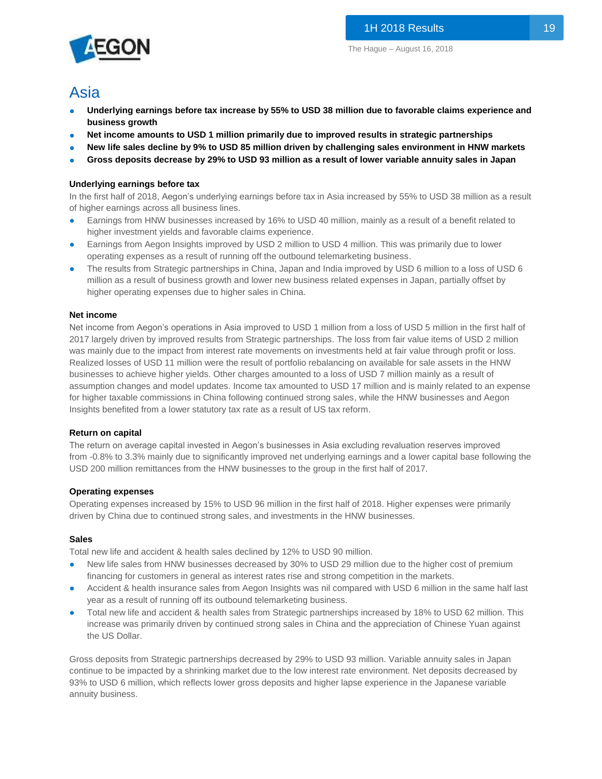# Asia

- **Underlying earnings before tax increase by 55% to USD 38 million due to favorable claims experience and business growth**
- **Net income amounts to USD 1 million primarily due to improved results in strategic partnerships**
- **New life sales decline by 9% to USD 85 million driven by challenging sales environment in HNW markets**
- **Gross deposits decrease by 29% to USD 93 million as a result of lower variable annuity sales in Japan**

## **Underlying earnings before tax**

In the first half of 2018, Aegon's underlying earnings before tax in Asia increased by 55% to USD 38 million as a result of higher earnings across all business lines.

- Earnings from HNW businesses increased by 16% to USD 40 million, mainly as a result of a benefit related to higher investment yields and favorable claims experience.
- Earnings from Aegon Insights improved by USD 2 million to USD 4 million. This was primarily due to lower operating expenses as a result of running off the outbound telemarketing business.
- The results from Strategic partnerships in China, Japan and India improved by USD 6 million to a loss of USD 6 million as a result of business growth and lower new business related expenses in Japan, partially offset by higher operating expenses due to higher sales in China.

#### **Net income**

Net income from Aegon's operations in Asia improved to USD 1 million from a loss of USD 5 million in the first half of 2017 largely driven by improved results from Strategic partnerships. The loss from fair value items of USD 2 million was mainly due to the impact from interest rate movements on investments held at fair value through profit or loss. Realized losses of USD 11 million were the result of portfolio rebalancing on available for sale assets in the HNW businesses to achieve higher yields. Other charges amounted to a loss of USD 7 million mainly as a result of assumption changes and model updates. Income tax amounted to USD 17 million and is mainly related to an expense for higher taxable commissions in China following continued strong sales, while the HNW businesses and Aegon Insights benefited from a lower statutory tax rate as a result of US tax reform.

#### **Return on capital**

The return on average capital invested in Aegon's businesses in Asia excluding revaluation reserves improved from -0.8% to 3.3% mainly due to significantly improved net underlying earnings and a lower capital base following the USD 200 million remittances from the HNW businesses to the group in the first half of 2017.

#### **Operating expenses**

Operating expenses increased by 15% to USD 96 million in the first half of 2018. Higher expenses were primarily driven by China due to continued strong sales, and investments in the HNW businesses.

#### **Sales**

Total new life and accident & health sales declined by 12% to USD 90 million.

- New life sales from HNW businesses decreased by 30% to USD 29 million due to the higher cost of premium financing for customers in general as interest rates rise and strong competition in the markets.
- Accident & health insurance sales from Aegon Insights was nil compared with USD 6 million in the same half last year as a result of running off its outbound telemarketing business.
- Total new life and accident & health sales from Strategic partnerships increased by 18% to USD 62 million. This increase was primarily driven by continued strong sales in China and the appreciation of Chinese Yuan against the US Dollar.

Gross deposits from Strategic partnerships decreased by 29% to USD 93 million. Variable annuity sales in Japan continue to be impacted by a shrinking market due to the low interest rate environment. Net deposits decreased by 93% to USD 6 million, which reflects lower gross deposits and higher lapse experience in the Japanese variable annuity business.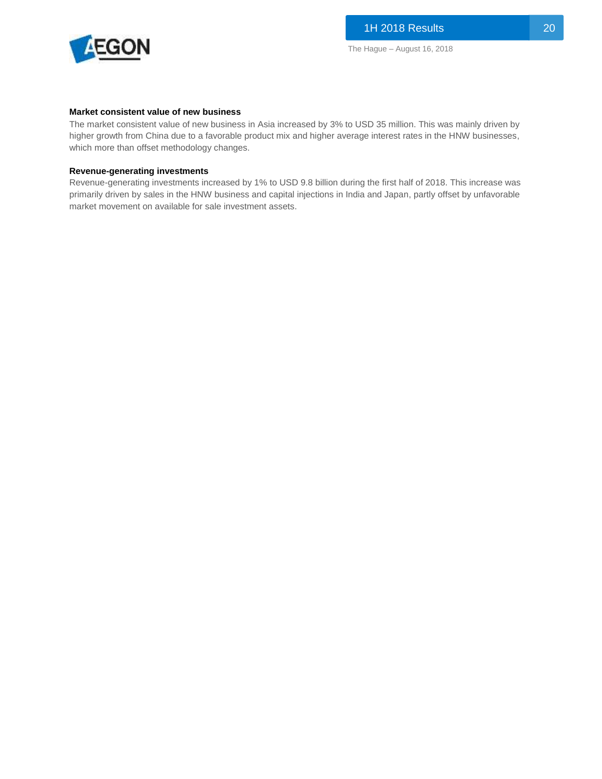

#### **Market consistent value of new business**

The market consistent value of new business in Asia increased by 3% to USD 35 million. This was mainly driven by higher growth from China due to a favorable product mix and higher average interest rates in the HNW businesses, which more than offset methodology changes.

#### **Revenue-generating investments**

Revenue-generating investments increased by 1% to USD 9.8 billion during the first half of 2018. This increase was primarily driven by sales in the HNW business and capital injections in India and Japan, partly offset by unfavorable market movement on available for sale investment assets.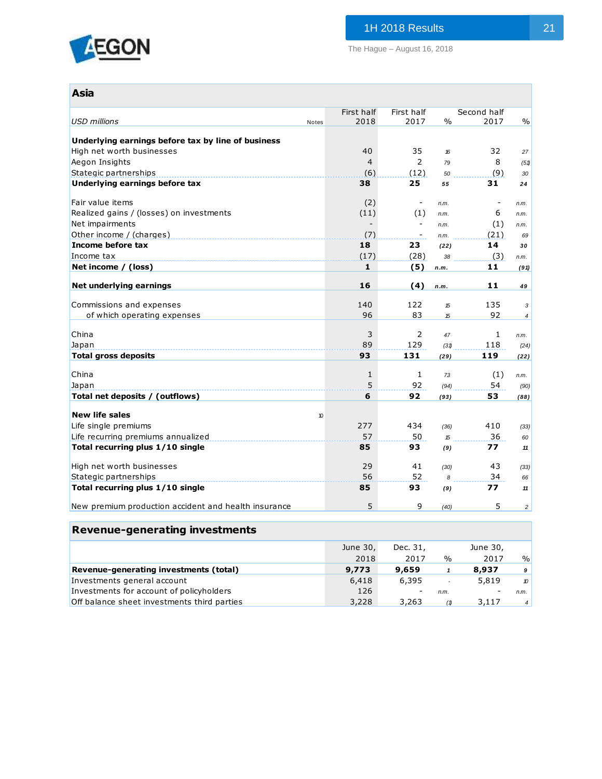

The Hague – August 16, 2018

| <b>Asia</b>                                          |       |            |                          |               |              |                |
|------------------------------------------------------|-------|------------|--------------------------|---------------|--------------|----------------|
|                                                      |       | First half | First half               |               | Second half  |                |
| <b>USD millions</b>                                  | Notes | 2018       | 2017                     | $\frac{0}{0}$ | 2017         | $\frac{0}{0}$  |
| Underlying earnings before tax by line of business   |       |            |                          |               |              |                |
| High net worth businesses                            |       | 40         | 35                       | 16            | 32           | 27             |
| Aegon Insights                                       |       | 4          | 2                        | 79            | 8            | (51)           |
| Stategic partnerships                                |       | (6)        | (12)                     | 50            | (9)          | 30             |
| Underlying earnings before tax                       |       | 38         | 25                       | 55            | 31           | 24             |
| Fair value items                                     |       | (2)        | $\overline{\phantom{a}}$ | n.m.          |              | n.m.           |
| Realized gains / (losses) on investments             |       | (11)       | (1)                      | n.m.          | 6            | n.m.           |
| Net impairments                                      |       |            |                          | n.m.          | (1)          | n.m.           |
| Other income / (charges)                             |       | (7)        |                          | n.m.          | (21)         | 69             |
| Income before tax                                    |       | 18         | 23                       | (22)          | 14           | 30             |
| Income tax                                           |       | (17)       | (28)                     | 38            | (3)          | n.m.           |
| Net income / (loss)                                  |       | 1          | (5)                      | n.m.          | 11           | (91)           |
|                                                      |       |            |                          |               |              |                |
| Net underlying earnings                              |       | 16         | (4)                      | n.m.          | 11           | 49             |
| Commissions and expenses                             |       | 140        | 122                      | 15            | 135          | 3              |
| of which operating expenses                          |       | 96         | 83                       | 15            | 92           | 4              |
|                                                      |       |            |                          |               |              |                |
| China                                                |       | 3          | 2                        | 47            | $\mathbf{1}$ | n.m.           |
| Japan                                                |       | 89         | 129                      | (31)          | 118          | (24)           |
| <b>Total gross deposits</b>                          |       | 93         | 131                      | (29)          | 119          | (22)           |
| China                                                |       |            |                          |               |              |                |
|                                                      |       | 1<br>5     | $\mathbf{1}$<br>92       | 73            | (1)<br>54    | n.m.           |
| Japan<br>Total net deposits / (outflows)             |       | 6          | 92                       | (94)<br>(93)  | 53           | (90)<br>(88)   |
|                                                      |       |            |                          |               |              |                |
| <b>New life sales</b>                                | 10    |            |                          |               |              |                |
| Life single premiums                                 |       | 277        | 434                      | (36)          | 410          | (33)           |
| Life recurring premiums annualized                   |       | 57         | 50                       | 15            | 36           | 60             |
| Total recurring plus 1/10 single                     |       | 85         | 93                       | (9)           | 77           | 11             |
| High net worth businesses                            |       | 29         | 41                       | (30)          | 43           | (33)           |
| Stategic partnerships                                |       | 56         | 52                       | 8             | 34           | 66             |
| Total recurring plus 1/10 single                     |       | 85         | 93                       | (9)           | 77           | 11             |
| New premium production accident and health insurance |       | 5          | 9                        | (40)          | 5            | $\overline{c}$ |

## **Revenue-generating investments**

|                                             | June 30, | Dec. 31,                 |        | June 30, |                |
|---------------------------------------------|----------|--------------------------|--------|----------|----------------|
|                                             | 2018     | 2017                     | $\%$   | 2017     | $\frac{0}{0}$  |
| Revenue-generating investments (total)      | 9,773    | 9,659                    |        | 8,937    | 9              |
| Investments general account                 | 6,418    | 6,395                    | $\sim$ | 5,819    | $\mathcal{D}$  |
| Investments for account of policyholders    | 126      | $\overline{\phantom{a}}$ | n.m.   |          | n.m.           |
| Off balance sheet investments third parties | 3,228    | 3,263                    | (1)    | 3,117    | 4 <sup>1</sup> |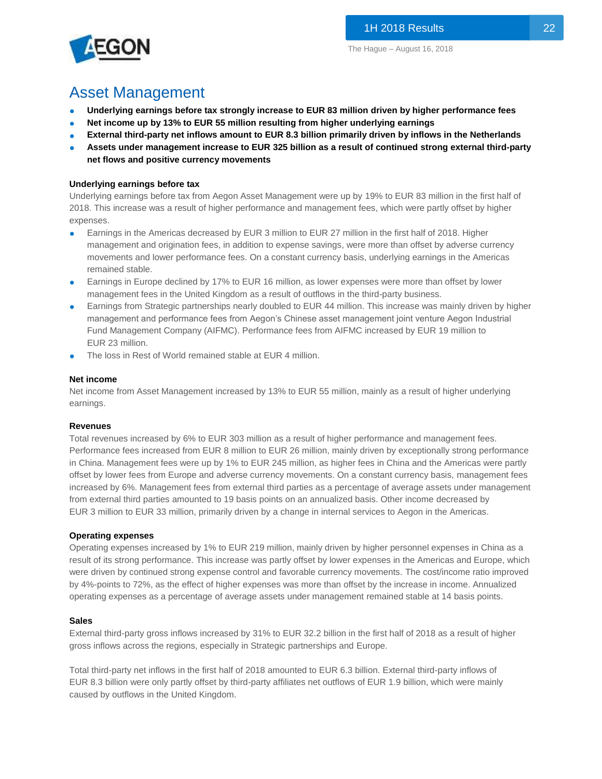

# Asset Management

- **Underlying earnings before tax strongly increase to EUR 83 million driven by higher performance fees**
- **Net income up by 13% to EUR 55 million resulting from higher underlying earnings**
- **External third-party net inflows amount to EUR 8.3 billion primarily driven by inflows in the Netherlands**
- **Assets under management increase to EUR 325 billion as a result of continued strong external third-party net flows and positive currency movements**

### **Underlying earnings before tax**

Underlying earnings before tax from Aegon Asset Management were up by 19% to EUR 83 million in the first half of 2018. This increase was a result of higher performance and management fees, which were partly offset by higher expenses.

- Earnings in the Americas decreased by EUR 3 million to EUR 27 million in the first half of 2018. Higher management and origination fees, in addition to expense savings, were more than offset by adverse currency movements and lower performance fees. On a constant currency basis, underlying earnings in the Americas remained stable.
- Earnings in Europe declined by 17% to EUR 16 million, as lower expenses were more than offset by lower management fees in the United Kingdom as a result of outflows in the third-party business.
- Earnings from Strategic partnerships nearly doubled to EUR 44 million. This increase was mainly driven by higher management and performance fees from Aegon's Chinese asset management joint venture Aegon Industrial Fund Management Company (AIFMC). Performance fees from AIFMC increased by EUR 19 million to EUR 23 million.
- The loss in Rest of World remained stable at EUR 4 million.

#### **Net income**

Net income from Asset Management increased by 13% to EUR 55 million, mainly as a result of higher underlying earnings.

#### **Revenues**

Total revenues increased by 6% to EUR 303 million as a result of higher performance and management fees. Performance fees increased from EUR 8 million to EUR 26 million, mainly driven by exceptionally strong performance in China. Management fees were up by 1% to EUR 245 million, as higher fees in China and the Americas were partly offset by lower fees from Europe and adverse currency movements. On a constant currency basis, management fees increased by 6%. Management fees from external third parties as a percentage of average assets under management from external third parties amounted to 19 basis points on an annualized basis. Other income decreased by EUR 3 million to EUR 33 million, primarily driven by a change in internal services to Aegon in the Americas.

#### **Operating expenses**

Operating expenses increased by 1% to EUR 219 million, mainly driven by higher personnel expenses in China as a result of its strong performance. This increase was partly offset by lower expenses in the Americas and Europe, which were driven by continued strong expense control and favorable currency movements. The cost/income ratio improved by 4%-points to 72%, as the effect of higher expenses was more than offset by the increase in income. Annualized operating expenses as a percentage of average assets under management remained stable at 14 basis points.

#### **Sales**

External third-party gross inflows increased by 31% to EUR 32.2 billion in the first half of 2018 as a result of higher gross inflows across the regions, especially in Strategic partnerships and Europe.

Total third-party net inflows in the first half of 2018 amounted to EUR 6.3 billion. External third-party inflows of EUR 8.3 billion were only partly offset by third-party affiliates net outflows of EUR 1.9 billion, which were mainly caused by outflows in the United Kingdom.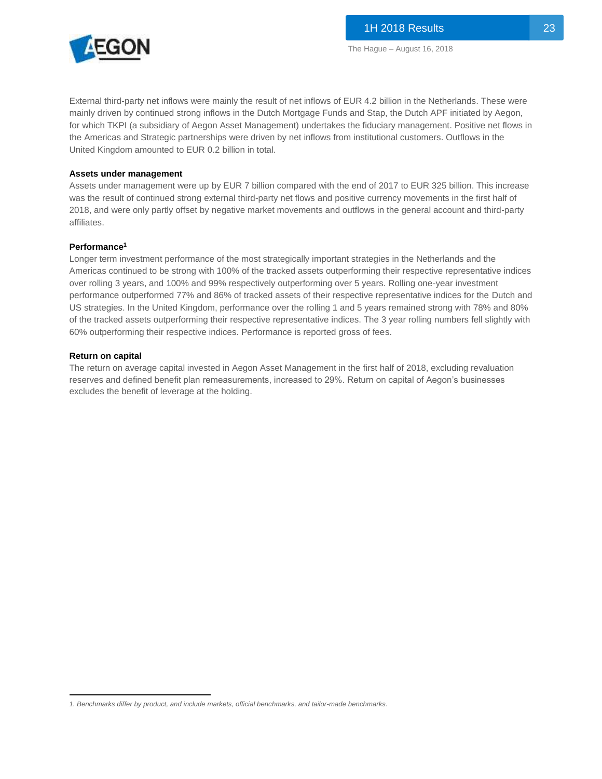

External third-party net inflows were mainly the result of net inflows of EUR 4.2 billion in the Netherlands. These were mainly driven by continued strong inflows in the Dutch Mortgage Funds and Stap, the Dutch APF initiated by Aegon, for which TKPI (a subsidiary of Aegon Asset Management) undertakes the fiduciary management. Positive net flows in the Americas and Strategic partnerships were driven by net inflows from institutional customers. Outflows in the United Kingdom amounted to EUR 0.2 billion in total.

#### **Assets under management**

Assets under management were up by EUR 7 billion compared with the end of 2017 to EUR 325 billion. This increase was the result of continued strong external third-party net flows and positive currency movements in the first half of 2018, and were only partly offset by negative market movements and outflows in the general account and third-party affiliates.

#### **Performance<sup>1</sup>**

Longer term investment performance of the most strategically important strategies in the Netherlands and the Americas continued to be strong with 100% of the tracked assets outperforming their respective representative indices over rolling 3 years, and 100% and 99% respectively outperforming over 5 years. Rolling one-year investment performance outperformed 77% and 86% of tracked assets of their respective representative indices for the Dutch and US strategies. In the United Kingdom, performance over the rolling 1 and 5 years remained strong with 78% and 80% of the tracked assets outperforming their respective representative indices. The 3 year rolling numbers fell slightly with 60% outperforming their respective indices. Performance is reported gross of fees.

#### **Return on capital**

The return on average capital invested in Aegon Asset Management in the first half of 2018, excluding revaluation reserves and defined benefit plan remeasurements, increased to 29%. Return on capital of Aegon's businesses excludes the benefit of leverage at the holding.

 $\overline{\phantom{a}}$ *1. Benchmarks differ by product, and include markets, official benchmarks, and tailor-made benchmarks.*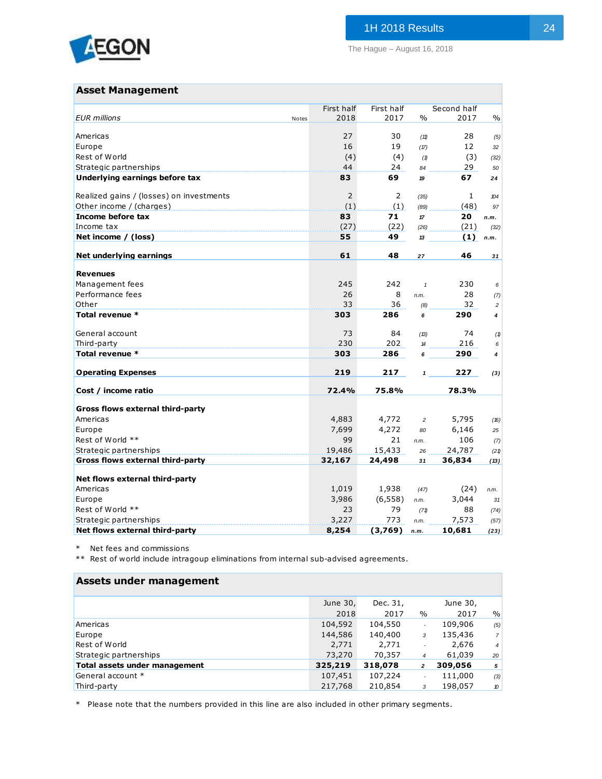

## **Asset Management**

|                                          |       | First half | First half |                | Second half |                |
|------------------------------------------|-------|------------|------------|----------------|-------------|----------------|
| <b>EUR</b> millions                      | Notes | 2018       | 2017       | $\frac{0}{0}$  | 2017        | $\frac{0}{0}$  |
| Americas                                 |       | 27         | 30         | (11)           | 28          | (5)            |
| Europe                                   |       | 16         | 19         | (17)           | 12          | 32             |
| Rest of World                            |       | (4)        | (4)        | (1)            | (3)         | (32)           |
| Strategic partnerships                   |       | 44         | 24         | 84             | 29          | 50             |
| Underlying earnings before tax           |       | 83         | 69         | 19             | 67          | 24             |
| Realized gains / (losses) on investments |       | 2          | 2          | (35)           | 1           | 104            |
| Other income / (charges)                 |       | (1)        | (1)        | (89)           | (48)        | 97             |
| Income before tax                        |       | 83         | 71         | $17\,$         | 20          | n.m.           |
| Income tax                               |       | (27)       | (22)       | (26)           | (21)        | (32)           |
| Net income / (loss)                      |       | 55         | 49         | 13             | (1)         | n.m.           |
| Net underlying earnings                  |       | 61         | 48         | 27             | 46          | 31             |
| <b>Revenues</b>                          |       |            |            |                |             |                |
| Management fees                          |       | 245        | 242        | $\mathbf{1}$   | 230         | 6              |
| Performance fees                         |       | 26         | 8          | n.m.           | 28          | (7)            |
| Other                                    |       | 33         | 36         | (8)            | 32          | $\overline{a}$ |
| Total revenue *                          |       | 303        | 286        | 6              | 290         | 4              |
| General account                          |       | 73         | 84         | (13)           | 74          | (1)            |
| Third-party                              |       | 230        | 202        | 14             | 216         | 6              |
| Total revenue *                          |       | 303        | 286        | 6              | 290         | 4              |
| <b>Operating Expenses</b>                |       | 219        | 217        | $\mathbf{1}$   | 227         | (3)            |
| Cost / income ratio                      |       | 72.4%      | 75.8%      |                | 78.3%       |                |
|                                          |       |            |            |                |             |                |
| Gross flows external third-party         |       |            |            |                |             |                |
| Americas                                 |       | 4,883      | 4,772      | $\overline{c}$ | 5,795       | (16)           |
| Europe                                   |       | 7,699      | 4,272      | 80             | 6,146       | 25             |
| Rest of World **                         |       | 99         | 21         | n.m.           | 106         | (7)            |
| Strategic partnerships                   |       | 19,486     | 15,433     | 26             | 24,787      | (21)           |
| Gross flows external third-party         |       | 32,167     | 24,498     | 31             | 36,834      | (13)           |
| Net flows external third-party           |       |            |            |                |             |                |
| Americas                                 |       | 1,019      | 1,938      | (47)           | (24)        | n.m.           |
| Europe                                   |       | 3,986      | (6, 558)   | n.m.           | 3,044       | 31             |
| Rest of World **                         |       | 23         | 79         | (71)           | 88          | (74)           |
| Strategic partnerships                   |       | 3,227      | 773        | n.m.           | 7,573       | (57)           |
| Net flows external third-party           |       | 8,254      | (3,769)    | n.m.           | 10,681      | (23)           |

\* Net fees and commissions

\*\* Rest of world include intragoup eliminations from internal sub-advised agreements.

## **Assets under management**

|                               | June 30, | Dec. 31, |                          | June 30, |                |
|-------------------------------|----------|----------|--------------------------|----------|----------------|
|                               | 2018     | 2017     | $\frac{0}{0}$            | 2017     | %              |
| Americas                      | 104,592  | 104,550  | $\overline{\phantom{a}}$ | 109,906  | (5)            |
| Europe                        | 144,586  | 140,400  | 3                        | 135,436  | $\overline{7}$ |
| Rest of World                 | 2,771    | 2,771    |                          | 2,676    | $\overline{4}$ |
| Strategic partnerships        | 73,270   | 70,357   | $\overline{4}$           | 61,039   | 20             |
| Total assets under management | 325,219  | 318,078  | $\overline{a}$           | 309,056  | 5              |
| General account *             | 107,451  | 107,224  |                          | 111,000  | (3)            |
| Third-party                   | 217,768  | 210,854  | 3                        | 198,057  | 10             |

\* Please note that the numbers provided in this line are also included in other primary segments.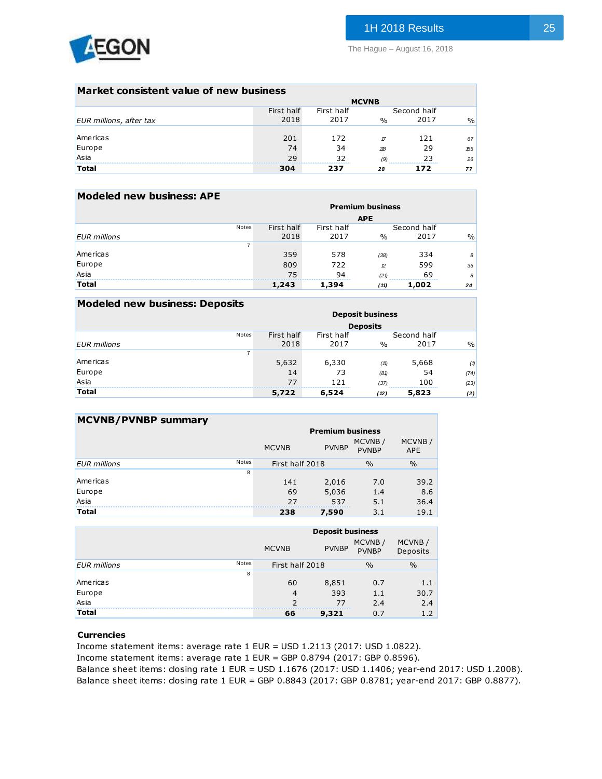

### **Market consistent value of new business**

|                         | <b>MCVNB</b> |            |               |             |      |  |  |  |  |
|-------------------------|--------------|------------|---------------|-------------|------|--|--|--|--|
|                         | First half   | First half |               | Second half |      |  |  |  |  |
| EUR millions, after tax | 2018         | 2017       | $\frac{0}{0}$ | 2017        | $\%$ |  |  |  |  |
|                         |              |            |               |             |      |  |  |  |  |
| Americas                | 201          | 172        | $\tau$        | 121         | 67   |  |  |  |  |
| Europe                  | 74           | 34         | 118           | 29          | 155  |  |  |  |  |
| Asia                    | 29           | 32         | (9)           | 23          | 26   |  |  |  |  |
| <b>Total</b>            | 304          | 237        | 28            | 172         | 77   |  |  |  |  |
|                         |              |            |               |             |      |  |  |  |  |

## **Modeled new business: APE**

|                     |       |            |            | <b>Premium business</b> |             |               |
|---------------------|-------|------------|------------|-------------------------|-------------|---------------|
|                     |       |            |            | <b>APE</b>              |             |               |
|                     | Notes | First half | First half |                         | Second half |               |
| <b>EUR</b> millions |       | 2018       | 2017       | $\frac{0}{0}$           | 2017        | $\frac{0}{0}$ |
|                     | 7     |            |            |                         |             |               |
| Americas            |       | 359        | 578        | (38)                    | 334         | 8             |
| Europe              |       | 809        | 722        | 12                      | 599         | 35            |
| Asia                |       | 75         | 94         | (21)                    | 69          | 8             |
| <b>Total</b>        |       | 1,243      | 1,394      | (11)                    | 1,002       | 24            |
|                     |       |            |            |                         |             |               |

| <b>Modeled new business: Deposits</b> |            |            |                         |             |               |
|---------------------------------------|------------|------------|-------------------------|-------------|---------------|
|                                       |            |            | <b>Deposit business</b> |             |               |
|                                       |            |            | <b>Deposits</b>         |             |               |
| <b>Notes</b>                          | First half | First half |                         | Second half |               |
| <b>EUR</b> millions                   | 2018       | 2017       | $\frac{0}{0}$           | 2017        | $\frac{0}{0}$ |
|                                       | 7          |            |                         |             |               |
| Americas                              | 5,632      | 6,330      | (11)                    | 5,668       | (1)           |
| Europe                                | 14         | 73         | (81)                    | 54          | (74)          |
| Asia                                  | 77         | 121        | (37)                    | 100         | (23)          |
| <b>Total</b>                          | 5,722      | 6,524      | (12)                    | 5,823       | (2)           |

| <b>MCVNB/PVNBP summary</b> |              |                 |                         |                        |                      |
|----------------------------|--------------|-----------------|-------------------------|------------------------|----------------------|
|                            |              |                 | <b>Premium business</b> |                        |                      |
|                            |              | <b>MCVNB</b>    | <b>PVNBP</b>            | MCVNB/<br><b>PVNBP</b> | MCVNB/<br><b>APE</b> |
| <b>EUR</b> millions        | <b>Notes</b> | First half 2018 |                         | $\frac{0}{0}$          | $\frac{0}{0}$        |
|                            | 8            |                 |                         |                        |                      |
| Americas                   |              | 141             | 2,016                   | 7.0                    | 39.2                 |
| Europe                     |              | 69              | 5,036                   | 1.4                    | 8.6                  |
| Asia                       |              | 27              | 537                     | 5.1                    | 36.4                 |
| <b>Total</b>               |              | 238             | 7,590                   | 3.1                    | 19.1                 |

|                     |       |                 | <b>Deposit business</b> |                        |                    |
|---------------------|-------|-----------------|-------------------------|------------------------|--------------------|
|                     |       | <b>MCVNB</b>    | <b>PVNBP</b>            | MCVNB/<br><b>PVNBP</b> | MCVNB/<br>Deposits |
| <b>EUR</b> millions | Notes | First half 2018 |                         | $\frac{0}{0}$          | $\frac{0}{0}$      |
|                     | 8     |                 |                         |                        |                    |
| Americas            |       | 60              | 8,851                   | 0.7                    | 1.1                |
| Europe              |       | 4               | 393                     | 1.1                    | 30.7               |
| Asia                |       | $\mathcal{P}$   | 77                      | 2.4                    | 2.4                |
| <b>Total</b>        |       | 66              | 9,321                   | 0.7                    | 1.2                |
|                     |       |                 |                         |                        |                    |

### **Currencies**

Income statement items: average rate 1 EUR = USD 1.2113 (2017: USD 1.0822).

Income statement items: average rate 1 EUR = GBP 0.8794 (2017: GBP 0.8596).

Balance sheet items: closing rate 1 EUR = USD 1.1676 (2017: USD 1.1406; year-end 2017: USD 1.2008). Balance sheet items: closing rate 1 EUR = GBP 0.8843 (2017: GBP 0.8781; year-end 2017: GBP 0.8877).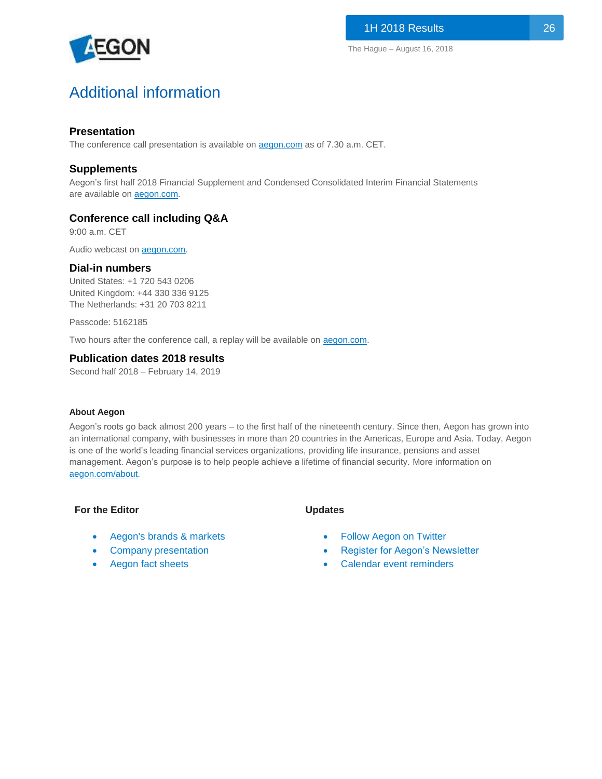

# Additional information

## **Presentation**

The conference call presentation is available on **aegon.com** as of 7.30 a.m. CET.

## **Supplements**

Aegon's first half 2018 Financial Supplement and Condensed Consolidated Interim Financial Statements are available on **aegon.com**.

## **Conference call including Q&A**

9:00 a.m. CET

Audio webcast on [aegon.com.](https://services.choruscall.com/links/aeg180816kinksdjl.html)

## **Dial-in numbers**

United States: +1 720 543 0206 United Kingdom: +44 330 336 9125 The Netherlands: +31 20 703 8211

Passcode: 5162185

Two hours after the conference call, a replay will be available on **aegon.com**.

## **Publication dates 2018 results**

Second half 2018 – February 14, 2019

## **About Aegon**

Aegon's roots go back almost 200 years – to the first half of the nineteenth century. Since then, Aegon has grown into an international company, with businesses in more than 20 countries in the Americas, Europe and Asia. Today, Aegon is one of the world's leading financial services organizations, providing life insurance, pensions and asset management. Aegon's purpose is to help people achieve a lifetime of financial security. More information on [aegon.com/about.](http://www.aegon.com/about)

## **For the Editor**

- [Aegon's brands & markets](https://www.aegon.com/about/brands-markets/)
- [Company presentation](https://www.aegon.com/contentassets/5a4ae82a6dbf4e3f8a9b891bfb1fdcb4/introduction-to-aegon.pdf)
- [Aegon fact sheets](https://www.aegon.com/newsroom/fact-sheets/)

## **Updates**

- [Follow Aegon on Twitter](http://twitter.com/Aegon)
- [Register for Aegon's Newsletter](http://aegon.us8.list-manage.com/subscribe?u=bed4350c3e2011a47e35e8081&id=8bc411d73f)
- [Calendar event reminders](https://www.aegon.com/investors/calendar/)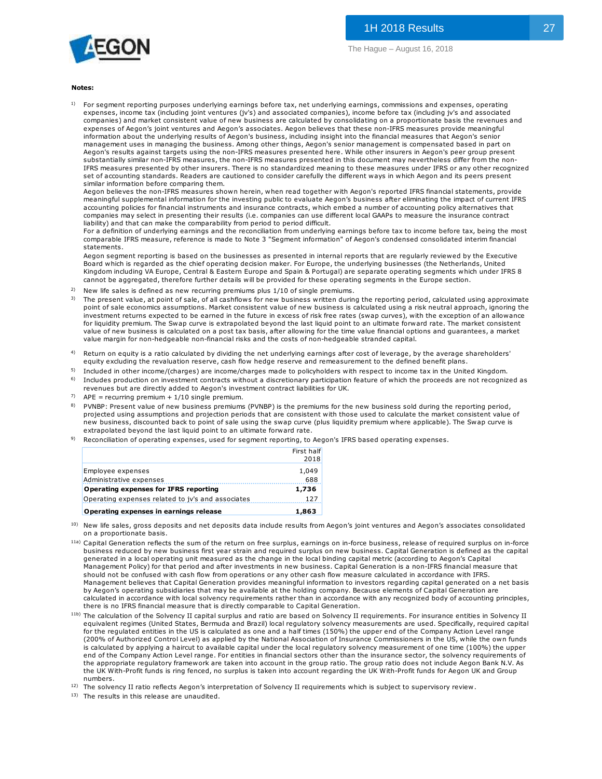

#### **Notes:**

1) For segment reporting purposes underlying earnings before tax, net underlying earnings, commissions and expenses, operating expenses, income tax (including joint ventures (jv's) and associated companies), income before tax (including jv's and associated companies) and market consistent value of new business are calculated by consolidating on a proportionate basis the revenues and expenses of Aegon's joint ventures and Aegon's associates. Aegon believes that these non-IFRS measures provide meaningful information about the underlying results of Aegon's business, including insight into the financial measures that Aegon's senior management uses in managing the business. Among other things, Aegon's senior management is compensated based in part on Aegon's results against targets using the non-IFRS measures presented here. While other insurers in Aegon's peer group present substantially similar non-IFRS measures, the non-IFRS measures presented in this document may nevertheless differ from the non-IFRS measures presented by other insurers. There is no standardized meaning to these measures under IFRS or any other recognized set of accounting standards. Readers are cautioned to consider carefully the different ways in which Aegon and its peers present similar information before comparing them.

Aegon believes the non-IFRS measures shown herein, when read together with Aegon's reported IFRS financial statements, provide meaningful supplemental information for the investing public to evaluate Aegon's business after eliminating the impact of current IFRS accounting policies for financial instruments and insurance contracts, which embed a number of accounting policy alternatives that companies may select in presenting their results (i.e. companies can use different local GAAPs to measure the insurance contract liability) and that can make the comparability from period to period difficult.

For a definition of underlying earnings and the reconciliation from underlying earnings before tax to income before tax, being the most comparable IFRS measure, reference is made to Note 3 "Segment information" of Aegon's condensed consolidated interim financial statements.

Aegon segment reporting is based on the businesses as presented in internal reports that are regularly reviewed by the Executive Board which is regarded as the chief operating decision maker. For Europe, the underlying businesses (the Netherlands, United Kingdom including VA Europe, Central & Eastern Europe and Spain & Portugal) are separate operating segments which under IFRS 8 cannot be aggregated, therefore further details will be provided for these operating segments in the Europe section. Aegon segment reporting is based on the businesses as presented in internal reports that are regularly reviewed by the Executive<br>Board which is regarded as the chief operating decision maker. For Europe, the underlying bus

- 2) New life sales is defined as new recurring premiums plus 1/10 of single premiums.
- 3) Board which is regarded as the chief operating decision maker. For Europe, the underlying businesses (the Netherlands, United<br>Kingdom including VA Europe, Central & Eastern Europe and Spain & Portugal) are separate operati investment returns expected to be earned in the future in excess of risk free rates (swap curves), with the exception of an allowance investment recurs expected to be earned in the nutrie nutrie. The matter are reless to this interest to income<br>the liquidity premium. The Swap curve is extrapolated beyond the last liquid point to an ultimate forward rate. New life sales is defined as new recurring premiums plus 1/10 of single premiums.<br>The present value, at point of sale, of all cashflows for new business written during the reporting period, calculated using a pproxima<br>poin value margin for non-hedgeable non-financial risks and the costs of non-hedgeable stranded capital.
- 4) Return on equity is a ratio calculated by dividing the net underlying earnings after cost of leverage, by the average shareholders'<br>equity excluding the revaluation reserve, cash flow hedge reserve and remeasurement to the
- $^{5)}$  Included in other income/(charges) are income/charges made to policyholders with respect to income tax in the United Kingdom. 6) Includes production on investment contracts without a discretionary participation feature of which the proceeds are not recognized as equity excluding the revaluation reserve, cash how hedge reserve and remeasurement to the delined benefit plans.<br>Included in other income/(charges) are income/charges made to policyholders with respect to income tax in the
- revenues but are directly added to Aegon's investment contract liabilities for UK.
- $7$  APE = recurring premium + 1/10 single premium.
- 8) projected using assumptions and projection periods that are consistent with those used to calculate the market consistent value of Includes production on investment contracts without a discretionary participation feature of which the proceeds are not recognized<br>revenues but are directly added to Aegon's investment contract liabilities for UK.<br>APE = re extrapolated beyond the last liquid point to an ultimate forward rate.
- <sup>9)</sup> Reconciliation of operating expenses, used for segment reporting, to Aegon's IFRS based operating expenses.

|                                                   | First half |
|---------------------------------------------------|------------|
|                                                   | 2018       |
| Employee expenses                                 | 1,049      |
| Administrative expenses                           | 688        |
| <b>Operating expenses for IFRS reporting</b>      | 1,736      |
| Operating expenses related to jy's and associates | 127        |
| Operating expenses in earnings release            | 1,863      |

- 10) on a proportionate basis.
- <sup>11a)</sup> Capital Generation reflects the sum of the return on free surplus, earnings on in-force business, release of required surplus on in-force **Operating expenses in earnings release** 1,863<br>
New life sales, gross deposits and net deposits data include results from Aegon's joint ventures and Aegon's associates consolidated<br>
Capital Generation reflects the sum of t generated in a local operating unit measured as the change in the local binding capital metric (according to Aegon's Capital<br>Management Policy) for that period and after investments in new business. Capital Generation is a New life sales, gross deposits and net deposits data include results from Aegon's joint ventures and Aegon's associates consolidate<br>on a proportionate basis.<br>Capital Generation reflects the sum of the return on free surplu business reduced by new business first year strain and required surplus on new business. Capital Generation is defined as the capital generated in a local operating unit measured as the change in the local binding capital Management believes that Capital Generation provides meaningful information to investors regarding capital generated on a net basis by Aegon's operating subsidiaries that may be available at the holding company. Because elements of Capital Generation are calculated in accordance with local solvency requirements rather than in accordance with any recognized body of accounting principles, there is no IFRS financial measure that is directly comparable to Capital Generation.
- <sup>11b)</sup> The calculation of the Solvency II capital surplus and ratio are based on Solvency II requirements. For insurance entities in Solvency II equivalent regimes (United States, Bermuda and Brazil) local regulatory solvency measurements are used. Specifically, required capital for the regulated entities in the US is calculated as one and a half times (150%) the upper end of the Company Action Level range (200% of Authorized Control Level) as applied by the National Association of Insurance Commissioners in the US, while the own funds is calculated by applying a haircut to available capital under the local regulatory solvency measurement of one time (100%) the upper end of the Company Action Level range. For entities in financial sectors other than the insurance sector, the solvency requirements of the appropriate regulatory framework are taken into account in the group ratio. The group ratio does not include Aegon Bank N.V. As the UK With-Profit funds is ring fenced, no surplus is taken into account regarding the UK With-Profit funds for Aegon UK and Group numbers. First colulated by applying a haircut to available capital under the local regulatory solvency measurement of one time (100%) the upper<br>end of the Company Action Level range. For entities in financial sectors other than th

12)

13) The results in this release are unaudited.